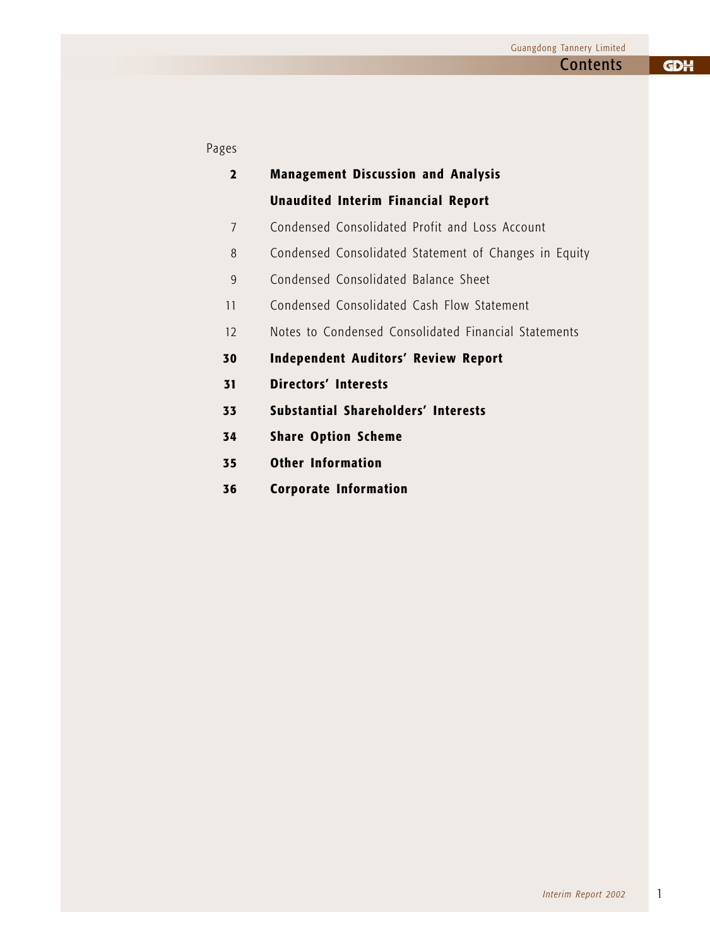# Pages

| $\mathbf{2}$ | <b>Management Discussion and Analysis</b>             |
|--------------|-------------------------------------------------------|
|              | <b>Unaudited Interim Financial Report</b>             |
| 7            | Condensed Consolidated Profit and Loss Account        |
| 8            | Condensed Consolidated Statement of Changes in Equity |
| 9            | Condensed Consolidated Balance Sheet                  |
| 11           | Condensed Consolidated Cash Flow Statement            |
| 12           | Notes to Condensed Consolidated Financial Statements  |
| 30           | <b>Independent Auditors' Review Report</b>            |
| 31           | <b>Directors' Interests</b>                           |
| 33           | Substantial Shareholders' Interests                   |
| 34           | <b>Share Option Scheme</b>                            |
| 35           | <b>Other Information</b>                              |
| 36           | <b>Corporate Information</b>                          |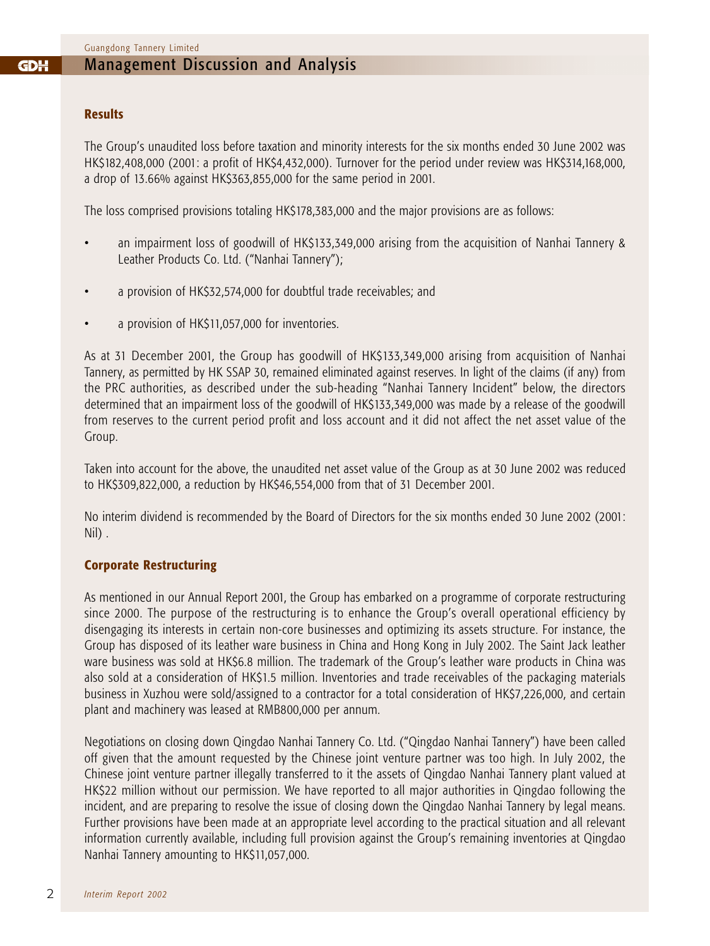#### Management Discussion and Analysis GDH

#### **Results**

The Group's unaudited loss before taxation and minority interests for the six months ended 30 June 2002 was HK\$182,408,000 (2001: a profit of HK\$4,432,000). Turnover for the period under review was HK\$314,168,000, a drop of 13.66% against HK\$363,855,000 for the same period in 2001.

The loss comprised provisions totaling HK\$178,383,000 and the major provisions are as follows:

- an impairment loss of goodwill of HK\$133,349,000 arising from the acquisition of Nanhai Tannery & Leather Products Co. Ltd. ("Nanhai Tannery");
- a provision of HK\$32,574,000 for doubtful trade receivables; and
- a provision of HK\$11,057,000 for inventories.

As at 31 December 2001, the Group has goodwill of HK\$133,349,000 arising from acquisition of Nanhai Tannery, as permitted by HK SSAP 30, remained eliminated against reserves. In light of the claims (if any) from the PRC authorities, as described under the sub-heading "Nanhai Tannery Incident" below, the directors determined that an impairment loss of the goodwill of HK\$133,349,000 was made by a release of the goodwill from reserves to the current period profit and loss account and it did not affect the net asset value of the Group.

Taken into account for the above, the unaudited net asset value of the Group as at 30 June 2002 was reduced to HK\$309,822,000, a reduction by HK\$46,554,000 from that of 31 December 2001.

No interim dividend is recommended by the Board of Directors for the six months ended 30 June 2002 (2001: Nil) .

#### **Corporate Restructuring**

As mentioned in our Annual Report 2001, the Group has embarked on a programme of corporate restructuring since 2000. The purpose of the restructuring is to enhance the Group's overall operational efficiency by disengaging its interests in certain non-core businesses and optimizing its assets structure. For instance, the Group has disposed of its leather ware business in China and Hong Kong in July 2002. The Saint Jack leather ware business was sold at HK\$6.8 million. The trademark of the Group's leather ware products in China was also sold at a consideration of HK\$1.5 million. Inventories and trade receivables of the packaging materials business in Xuzhou were sold/assigned to a contractor for a total consideration of HK\$7,226,000, and certain plant and machinery was leased at RMB800,000 per annum.

Negotiations on closing down Qingdao Nanhai Tannery Co. Ltd. ("Qingdao Nanhai Tannery") have been called off given that the amount requested by the Chinese joint venture partner was too high. In July 2002, the Chinese joint venture partner illegally transferred to it the assets of Qingdao Nanhai Tannery plant valued at HK\$22 million without our permission. We have reported to all major authorities in Qingdao following the incident, and are preparing to resolve the issue of closing down the Qingdao Nanhai Tannery by legal means. Further provisions have been made at an appropriate level according to the practical situation and all relevant information currently available, including full provision against the Group's remaining inventories at Qingdao Nanhai Tannery amounting to HK\$11,057,000.

2 *Interim Report 2002*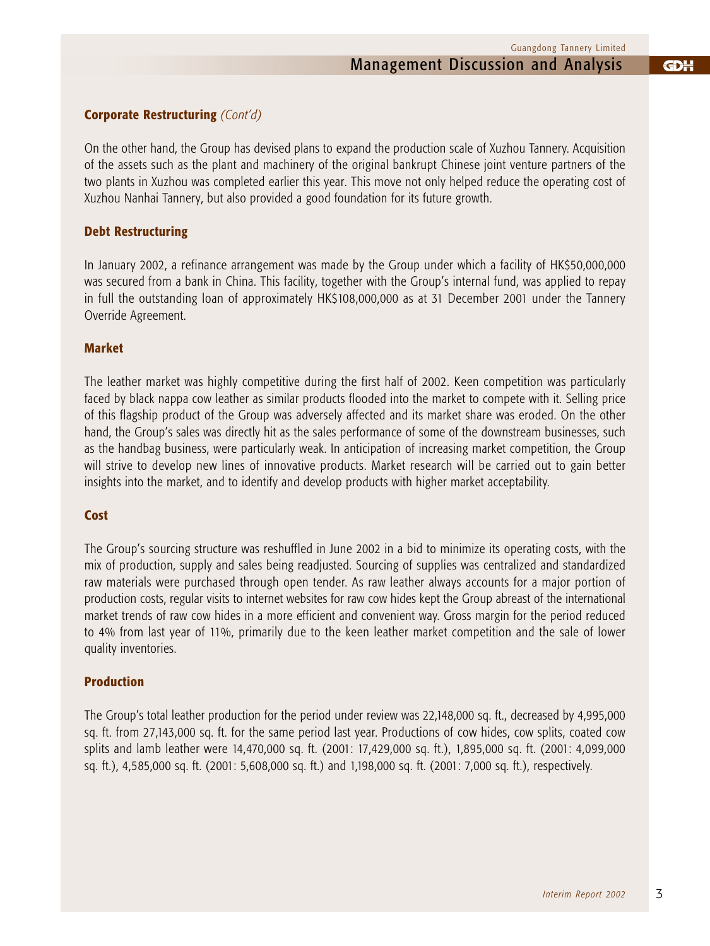**GDH** 

#### **Corporate Restructuring** *(Cont'd)*

On the other hand, the Group has devised plans to expand the production scale of Xuzhou Tannery. Acquisition of the assets such as the plant and machinery of the original bankrupt Chinese joint venture partners of the two plants in Xuzhou was completed earlier this year. This move not only helped reduce the operating cost of Xuzhou Nanhai Tannery, but also provided a good foundation for its future growth.

#### **Debt Restructuring**

In January 2002, a refinance arrangement was made by the Group under which a facility of HK\$50,000,000 was secured from a bank in China. This facility, together with the Group's internal fund, was applied to repay in full the outstanding loan of approximately HK\$108,000,000 as at 31 December 2001 under the Tannery Override Agreement.

#### **Market**

The leather market was highly competitive during the first half of 2002. Keen competition was particularly faced by black nappa cow leather as similar products flooded into the market to compete with it. Selling price of this flagship product of the Group was adversely affected and its market share was eroded. On the other hand, the Group's sales was directly hit as the sales performance of some of the downstream businesses, such as the handbag business, were particularly weak. In anticipation of increasing market competition, the Group will strive to develop new lines of innovative products. Market research will be carried out to gain better insights into the market, and to identify and develop products with higher market acceptability.

#### **Cost**

The Group's sourcing structure was reshuffled in June 2002 in a bid to minimize its operating costs, with the mix of production, supply and sales being readjusted. Sourcing of supplies was centralized and standardized raw materials were purchased through open tender. As raw leather always accounts for a major portion of production costs, regular visits to internet websites for raw cow hides kept the Group abreast of the international market trends of raw cow hides in a more efficient and convenient way. Gross margin for the period reduced to 4% from last year of 11%, primarily due to the keen leather market competition and the sale of lower quality inventories.

#### **Production**

The Group's total leather production for the period under review was 22,148,000 sq. ft., decreased by 4,995,000 sq. ft. from 27,143,000 sq. ft. for the same period last year. Productions of cow hides, cow splits, coated cow splits and lamb leather were 14,470,000 sq. ft. (2001: 17,429,000 sq. ft.), 1,895,000 sq. ft. (2001: 4,099,000 sq. ft.), 4,585,000 sq. ft. (2001: 5,608,000 sq. ft.) and 1,198,000 sq. ft. (2001: 7,000 sq. ft.), respectively.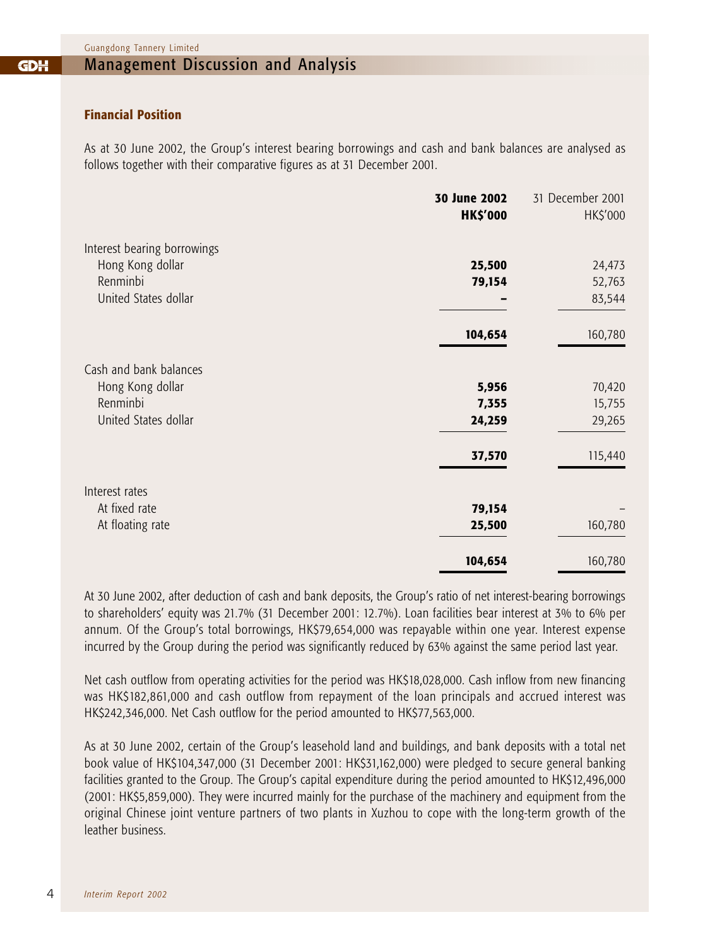#### Management Discussion and Analysis GDH

#### **Financial Position**

As at 30 June 2002, the Group's interest bearing borrowings and cash and bank balances are analysed as follows together with their comparative figures as at 31 December 2001.

|                             | 30 June 2002<br><b>HK\$'000</b> | 31 December 2001<br><b>HK\$'000</b> |
|-----------------------------|---------------------------------|-------------------------------------|
| Interest bearing borrowings |                                 |                                     |
| Hong Kong dollar            | 25,500                          | 24,473                              |
| Renminbi                    | 79,154                          | 52,763                              |
| United States dollar        |                                 | 83,544                              |
|                             | 104,654                         | 160,780                             |
| Cash and bank balances      |                                 |                                     |
| Hong Kong dollar            | 5,956                           | 70,420                              |
| Renminbi                    | 7,355                           | 15,755                              |
| United States dollar        | 24,259                          | 29,265                              |
|                             | 37,570                          | 115,440                             |
| Interest rates              |                                 |                                     |
| At fixed rate               | 79,154                          |                                     |
| At floating rate            | 25,500                          | 160,780                             |
|                             | 104,654                         | 160,780                             |

At 30 June 2002, after deduction of cash and bank deposits, the Group's ratio of net interest-bearing borrowings to shareholders' equity was 21.7% (31 December 2001: 12.7%). Loan facilities bear interest at 3% to 6% per annum. Of the Group's total borrowings, HK\$79,654,000 was repayable within one year. Interest expense incurred by the Group during the period was significantly reduced by 63% against the same period last year.

Net cash outflow from operating activities for the period was HK\$18,028,000. Cash inflow from new financing was HK\$182,861,000 and cash outflow from repayment of the loan principals and accrued interest was HK\$242,346,000. Net Cash outflow for the period amounted to HK\$77,563,000.

As at 30 June 2002, certain of the Group's leasehold land and buildings, and bank deposits with a total net book value of HK\$104,347,000 (31 December 2001: HK\$31,162,000) were pledged to secure general banking facilities granted to the Group. The Group's capital expenditure during the period amounted to HK\$12,496,000 (2001: HK\$5,859,000). They were incurred mainly for the purchase of the machinery and equipment from the original Chinese joint venture partners of two plants in Xuzhou to cope with the long-term growth of the leather business.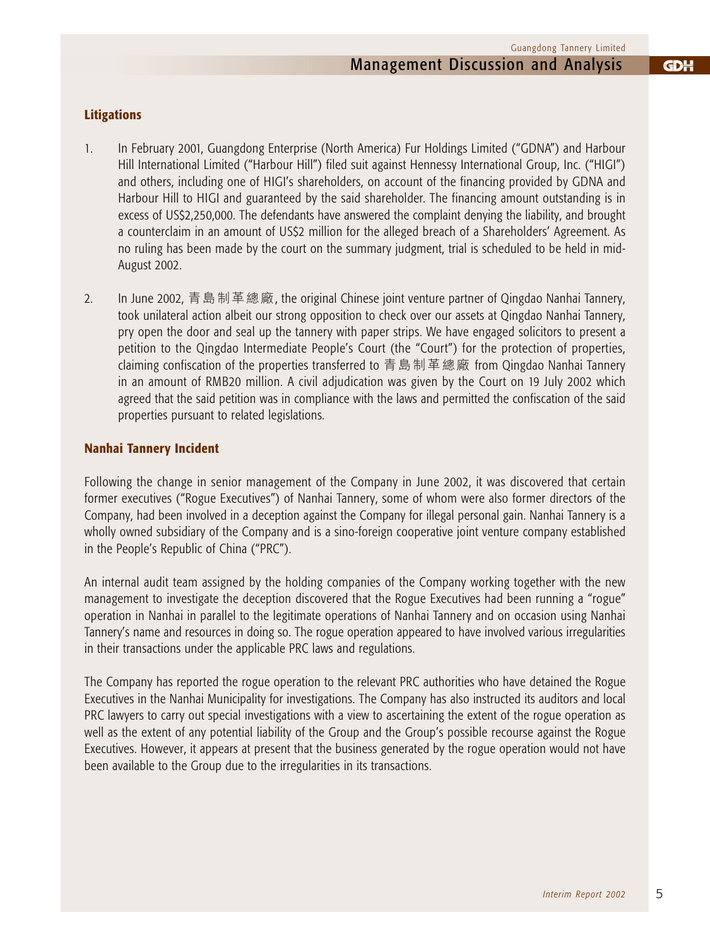#### **Litigations**

- 1. In February 2001, Guangdong Enterprise (North America) Fur Holdings Limited ("GDNA") and Harbour Hill International Limited ("Harbour Hill") filed suit against Hennessy International Group, Inc. ("HIGI") and others, including one of HIGI's shareholders, on account of the financing provided by GDNA and Harbour Hill to HIGI and guaranteed by the said shareholder. The financing amount outstanding is in excess of US\$2,250,000. The defendants have answered the complaint denying the liability, and brought a counterclaim in an amount of US\$2 million for the alleged breach of a Shareholders' Agreement. As no ruling has been made by the court on the summary judgment, trial is scheduled to be held in mid-August 2002.
- 2. In June 2002, 青島制革總廠, the original Chinese joint venture partner of Qingdao Nanhai Tannery, took unilateral action albeit our strong opposition to check over our assets at Qingdao Nanhai Tannery, pry open the door and seal up the tannery with paper strips. We have engaged solicitors to present a petition to the Qingdao Intermediate People's Court (the "Court") for the protection of properties, claiming confiscation of the properties transferred to 青島制革總廠 from Qingdao Nanhai Tannery in an amount of RMB20 million. A civil adjudication was given by the Court on 19 July 2002 which agreed that the said petition was in compliance with the laws and permitted the confiscation of the said properties pursuant to related legislations.

#### **Nanhai Tannery Incident**

Following the change in senior management of the Company in June 2002, it was discovered that certain former executives ("Rogue Executives") of Nanhai Tannery, some of whom were also former directors of the Company, had been involved in a deception against the Company for illegal personal gain. Nanhai Tannery is a wholly owned subsidiary of the Company and is a sino-foreign cooperative joint venture company established in the People's Republic of China ("PRC").

An internal audit team assigned by the holding companies of the Company working together with the new management to investigate the deception discovered that the Rogue Executives had been running a "rogue" operation in Nanhai in parallel to the legitimate operations of Nanhai Tannery and on occasion using Nanhai Tannery's name and resources in doing so. The rogue operation appeared to have involved various irregularities in their transactions under the applicable PRC laws and regulations.

The Company has reported the rogue operation to the relevant PRC authorities who have detained the Rogue Executives in the Nanhai Municipality for investigations. The Company has also instructed its auditors and local PRC lawyers to carry out special investigations with a view to ascertaining the extent of the rogue operation as well as the extent of any potential liability of the Group and the Group's possible recourse against the Rogue Executives. However, it appears at present that the business generated by the rogue operation would not have been available to the Group due to the irregularities in its transactions.

**GDH**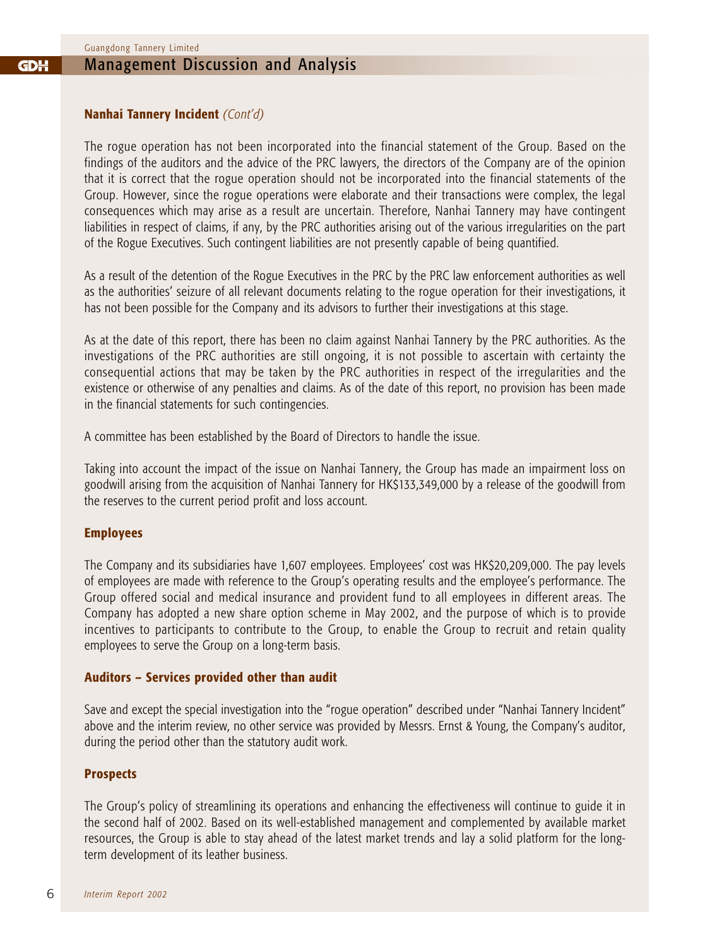#### Management Discussion and Analysis GDH

#### **Nanhai Tannery Incident** *(Cont'd)*

The rogue operation has not been incorporated into the financial statement of the Group. Based on the findings of the auditors and the advice of the PRC lawyers, the directors of the Company are of the opinion that it is correct that the rogue operation should not be incorporated into the financial statements of the Group. However, since the rogue operations were elaborate and their transactions were complex, the legal consequences which may arise as a result are uncertain. Therefore, Nanhai Tannery may have contingent liabilities in respect of claims, if any, by the PRC authorities arising out of the various irregularities on the part of the Rogue Executives. Such contingent liabilities are not presently capable of being quantified.

As a result of the detention of the Rogue Executives in the PRC by the PRC law enforcement authorities as well as the authorities' seizure of all relevant documents relating to the rogue operation for their investigations, it has not been possible for the Company and its advisors to further their investigations at this stage.

As at the date of this report, there has been no claim against Nanhai Tannery by the PRC authorities. As the investigations of the PRC authorities are still ongoing, it is not possible to ascertain with certainty the consequential actions that may be taken by the PRC authorities in respect of the irregularities and the existence or otherwise of any penalties and claims. As of the date of this report, no provision has been made in the financial statements for such contingencies.

A committee has been established by the Board of Directors to handle the issue.

Taking into account the impact of the issue on Nanhai Tannery, the Group has made an impairment loss on goodwill arising from the acquisition of Nanhai Tannery for HK\$133,349,000 by a release of the goodwill from the reserves to the current period profit and loss account.

#### **Employees**

The Company and its subsidiaries have 1,607 employees. Employees' cost was HK\$20,209,000. The pay levels of employees are made with reference to the Group's operating results and the employee's performance. The Group offered social and medical insurance and provident fund to all employees in different areas. The Company has adopted a new share option scheme in May 2002, and the purpose of which is to provide incentives to participants to contribute to the Group, to enable the Group to recruit and retain quality employees to serve the Group on a long-term basis.

#### **Auditors – Services provided other than audit**

Save and except the special investigation into the "rogue operation" described under "Nanhai Tannery Incident" above and the interim review, no other service was provided by Messrs. Ernst & Young, the Company's auditor, during the period other than the statutory audit work.

#### **Prospects**

The Group's policy of streamlining its operations and enhancing the effectiveness will continue to guide it in the second half of 2002. Based on its well-established management and complemented by available market resources, the Group is able to stay ahead of the latest market trends and lay a solid platform for the longterm development of its leather business.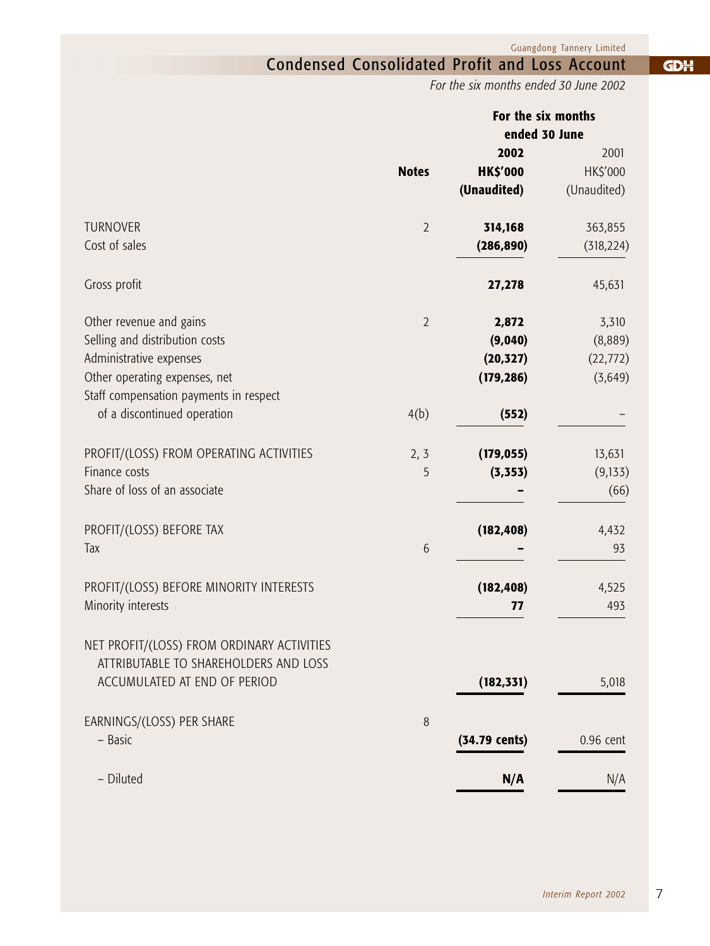# Condensed Consolidated Profit and Loss Account

*For the six months ended 30 June 2002*

|                                                                                                                     |                | For the six months |             |
|---------------------------------------------------------------------------------------------------------------------|----------------|--------------------|-------------|
|                                                                                                                     |                | ended 30 June      |             |
|                                                                                                                     |                | 2002               | 2001        |
|                                                                                                                     | <b>Notes</b>   | <b>HK\$'000</b>    | HK\$'000    |
|                                                                                                                     |                | (Unaudited)        | (Unaudited) |
| <b>TURNOVER</b>                                                                                                     | $\overline{2}$ | 314,168            | 363,855     |
| Cost of sales                                                                                                       |                | (286, 890)         | (318, 224)  |
| Gross profit                                                                                                        |                | 27,278             | 45,631      |
| Other revenue and gains                                                                                             | $\overline{2}$ | 2,872              | 3,310       |
| Selling and distribution costs                                                                                      |                | (9,040)            | (8,889)     |
| Administrative expenses                                                                                             |                | (20, 327)          | (22, 772)   |
| Other operating expenses, net                                                                                       |                | (179, 286)         | (3,649)     |
| Staff compensation payments in respect                                                                              |                |                    |             |
| of a discontinued operation                                                                                         | 4(b)           | (552)              |             |
| PROFIT/(LOSS) FROM OPERATING ACTIVITIES                                                                             | 2, 3           | (179, 055)         | 13,631      |
| Finance costs                                                                                                       | 5              | (3, 353)           | (9,133)     |
| Share of loss of an associate                                                                                       |                |                    | (66)        |
| PROFIT/(LOSS) BEFORE TAX                                                                                            |                | (182, 408)         | 4,432       |
| Tax                                                                                                                 | $6\,$          |                    | 93          |
| PROFIT/(LOSS) BEFORE MINORITY INTERESTS                                                                             |                | (182, 408)         | 4,525       |
| Minority interests                                                                                                  |                | 77                 | 493         |
| NET PROFIT/(LOSS) FROM ORDINARY ACTIVITIES<br>ATTRIBUTABLE TO SHAREHOLDERS AND LOSS<br>ACCUMULATED AT END OF PERIOD |                | (182, 331)         | 5,018       |
|                                                                                                                     |                |                    |             |
| EARNINGS/(LOSS) PER SHARE                                                                                           | 8              |                    |             |
| - Basic                                                                                                             |                | (34.79 cents)      | 0.96 cent   |
| - Diluted                                                                                                           |                | N/A                | N/A         |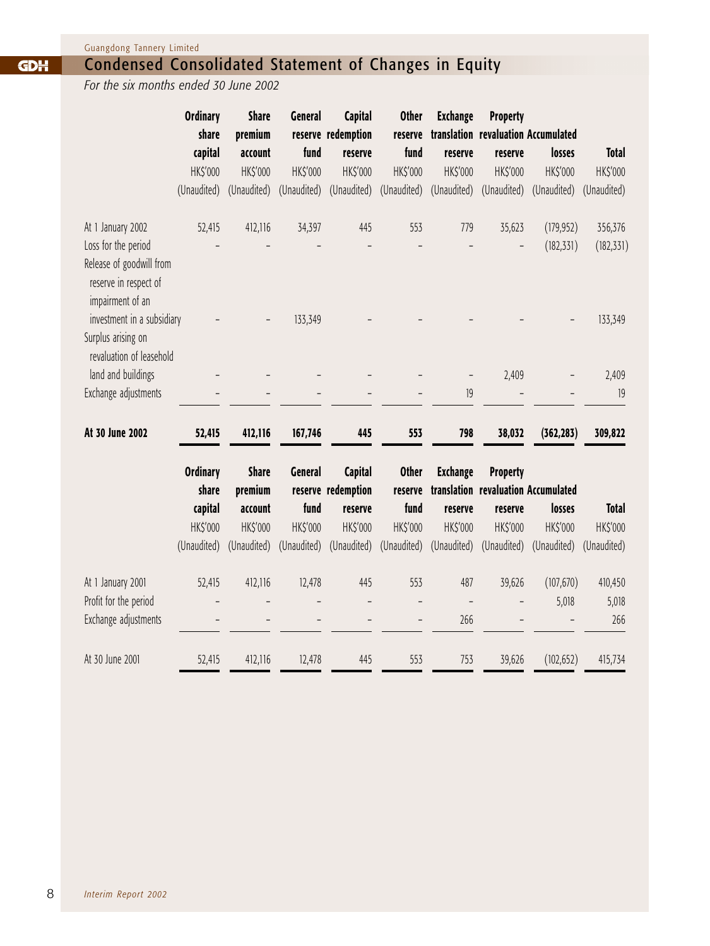#### Condensed Consolidated Statement of Changes in Equity **GDH**

*For the six months ended 30 June 2002*

|                                                                                              | <b>Ordinary</b>                                                | <b>Share</b>                                                  | <b>General</b>                                    | <b>Capital</b>                                                             | <b>Other</b>                                               | <b>Exchange</b>                                       | <b>Property</b>                                       |                                                                          |                                         |
|----------------------------------------------------------------------------------------------|----------------------------------------------------------------|---------------------------------------------------------------|---------------------------------------------------|----------------------------------------------------------------------------|------------------------------------------------------------|-------------------------------------------------------|-------------------------------------------------------|--------------------------------------------------------------------------|-----------------------------------------|
|                                                                                              | share                                                          | premium                                                       |                                                   | reserve redemption                                                         | reserve                                                    |                                                       |                                                       | translation revaluation Accumulated                                      |                                         |
|                                                                                              | capital                                                        | account                                                       | fund                                              | reserve                                                                    | fund                                                       | reserve                                               | reserve                                               | losses                                                                   | <b>Total</b>                            |
|                                                                                              | HK\$'000                                                       | HK\$'000                                                      | HK\$'000                                          | HK\$'000                                                                   | HK\$'000                                                   | HK\$'000                                              | HK\$'000                                              | HK\$'000                                                                 | HK\$'000                                |
|                                                                                              | (Unaudited)                                                    | (Unaudited)                                                   | (Unaudited)                                       | (Unaudited)                                                                | (Unaudited)                                                | (Unaudited)                                           | (Unaudited)                                           | (Unaudited)                                                              | (Unaudited)                             |
| At 1 January 2002                                                                            | 52,415                                                         | 412,116                                                       | 34,397                                            | 445                                                                        | 553                                                        | 779                                                   | 35,623                                                | (179, 952)                                                               | 356,376                                 |
| Loss for the period<br>Release of goodwill from<br>reserve in respect of<br>impairment of an |                                                                |                                                               |                                                   |                                                                            |                                                            |                                                       |                                                       | (182, 331)                                                               | (182, 331)                              |
| investment in a subsidiary<br>Surplus arising on<br>revaluation of leasehold                 |                                                                |                                                               | 133,349                                           |                                                                            |                                                            |                                                       |                                                       |                                                                          | 133,349                                 |
| land and buildings                                                                           |                                                                |                                                               |                                                   |                                                                            |                                                            | $\overline{\phantom{0}}$                              | 2,409                                                 |                                                                          | 2,409                                   |
| Exchange adjustments                                                                         |                                                                |                                                               |                                                   |                                                                            |                                                            | 19                                                    |                                                       |                                                                          | 19                                      |
| At 30 June 2002                                                                              | 52,415                                                         | 412,116                                                       | 167,746                                           | 445                                                                        | 553                                                        | 798                                                   | 38,032                                                | (362, 283)                                                               | 309,822                                 |
|                                                                                              | <b>Ordinary</b><br>share<br>capital<br>HK\$'000<br>(Unaudited) | <b>Share</b><br>premium<br>account<br>HK\$'000<br>(Unaudited) | <b>General</b><br>fund<br>HK\$'000<br>(Unaudited) | <b>Capital</b><br>reserve redemption<br>reserve<br>HK\$'000<br>(Unaudited) | <b>Other</b><br>reserve<br>fund<br>HK\$'000<br>(Unaudited) | <b>Exchange</b><br>reserve<br>HK\$'000<br>(Unaudited) | <b>Property</b><br>reserve<br>HK\$'000<br>(Unaudited) | translation revaluation Accumulated<br>losses<br>HK\$'000<br>(Unaudited) | <b>Total</b><br>HK\$'000<br>(Unaudited) |
| At 1 January 2001<br>Profit for the period<br>Exchange adjustments                           | 52,415                                                         | 412,116                                                       | 12,478                                            | 445<br>-                                                                   | 553<br>$\overline{\phantom{a}}$                            | 487<br>$\overline{\phantom{m}}$<br>266                | 39,626                                                | (107, 670)<br>5,018                                                      | 410,450<br>5,018<br>266                 |
| At 30 June 2001                                                                              | 52,415                                                         | 412,116                                                       | 12,478                                            | 445                                                                        | 553                                                        | 753                                                   | 39,626                                                | (102, 652)                                                               | 415,734                                 |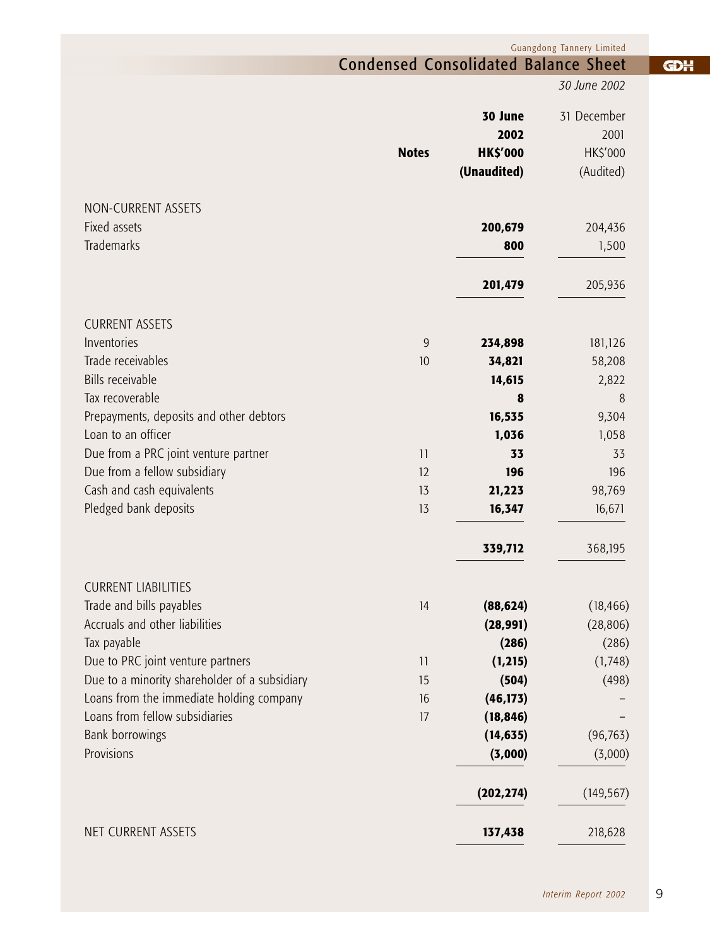|                                               |                                             |                 | Guangdong Tannery Limited |            |
|-----------------------------------------------|---------------------------------------------|-----------------|---------------------------|------------|
|                                               | <b>Condensed Consolidated Balance Sheet</b> |                 |                           | <b>GDH</b> |
|                                               |                                             |                 | 30 June 2002              |            |
|                                               |                                             | 30 June         | 31 December               |            |
|                                               |                                             | 2002            | 2001                      |            |
|                                               | <b>Notes</b>                                | <b>HK\$'000</b> | HK\$'000                  |            |
|                                               |                                             | (Unaudited)     | (Audited)                 |            |
| NON-CURRENT ASSETS                            |                                             |                 |                           |            |
| Fixed assets                                  |                                             | 200,679         | 204,436                   |            |
| Trademarks                                    |                                             | 800             | 1,500                     |            |
|                                               |                                             | 201,479         | 205,936                   |            |
| <b>CURRENT ASSETS</b>                         |                                             |                 |                           |            |
| Inventories                                   | $\overline{9}$                              | 234,898         | 181,126                   |            |
| Trade receivables                             | 10                                          | 34,821          | 58,208                    |            |
| <b>Bills receivable</b>                       |                                             | 14,615          | 2,822                     |            |
| Tax recoverable                               |                                             | 8               | 8                         |            |
| Prepayments, deposits and other debtors       |                                             | 16,535          | 9,304                     |            |
| Loan to an officer                            |                                             | 1,036           | 1,058                     |            |
| Due from a PRC joint venture partner          | 11                                          | 33              | 33                        |            |
| Due from a fellow subsidiary                  | 12                                          | 196             | 196                       |            |
| Cash and cash equivalents                     | 13                                          | 21,223          | 98,769                    |            |
| Pledged bank deposits                         | 13                                          | 16,347          | 16,671                    |            |
|                                               |                                             | 339,712         | 368,195                   |            |
| <b>CURRENT LIABILITIES</b>                    |                                             |                 |                           |            |
| Trade and bills payables                      | 14                                          | (88, 624)       | (18, 466)                 |            |
| Accruals and other liabilities                |                                             | (28,991)        | (28, 806)                 |            |
| Tax payable                                   |                                             | (286)           | (286)                     |            |
| Due to PRC joint venture partners             | 11                                          | (1, 215)        | (1,748)                   |            |
| Due to a minority shareholder of a subsidiary | 15                                          | (504)           | (498)                     |            |
| Loans from the immediate holding company      | 16                                          | (46, 173)       |                           |            |
| Loans from fellow subsidiaries                | 17                                          | (18, 846)       |                           |            |
| <b>Bank borrowings</b>                        |                                             | (14, 635)       | (96, 763)                 |            |
| Provisions                                    |                                             | (3,000)         | (3,000)                   |            |
|                                               |                                             | (202, 274)      | (149, 567)                |            |
| NET CURRENT ASSETS                            |                                             | 137,438         | 218,628                   |            |

9 *Interim Report 2002*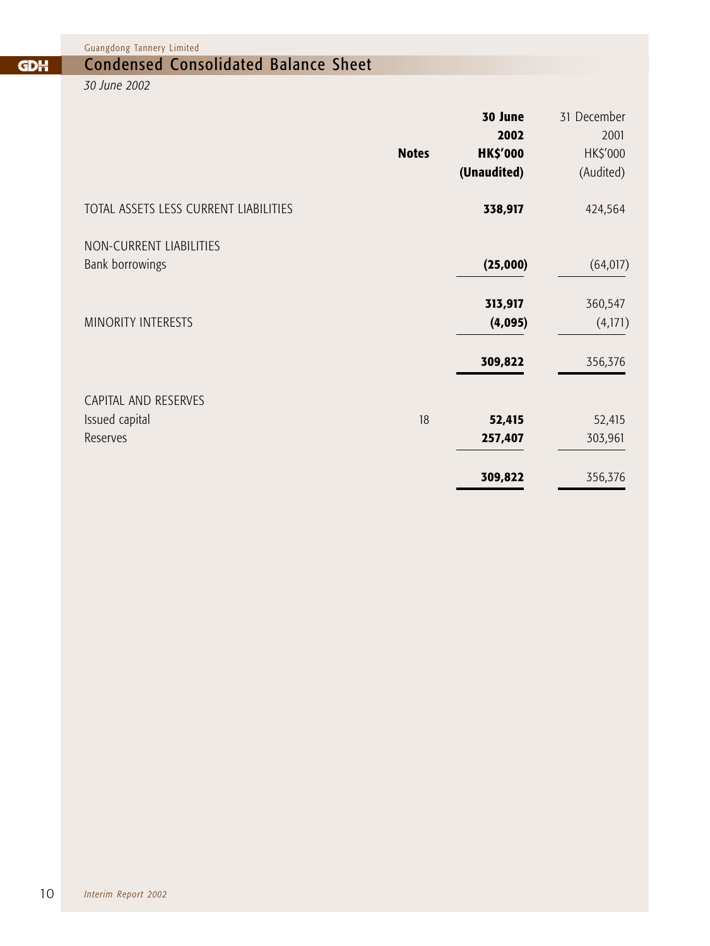# Condensed Consolidated Balance Sheet

*30 June 2002*

**GDH** 

|                                       |              | 30 June         | 31 December |
|---------------------------------------|--------------|-----------------|-------------|
|                                       |              | 2002            | 2001        |
|                                       | <b>Notes</b> | <b>HK\$'000</b> | HK\$'000    |
|                                       |              | (Unaudited)     | (Audited)   |
| TOTAL ASSETS LESS CURRENT LIABILITIES |              | 338,917         | 424,564     |
| NON-CURRENT LIABILITIES               |              |                 |             |
| <b>Bank borrowings</b>                |              | (25,000)        | (64, 017)   |
|                                       |              | 313,917         | 360,547     |
| <b>MINORITY INTERESTS</b>             |              | (4,095)         | (4,171)     |
|                                       |              | 309,822         | 356,376     |
| CAPITAL AND RESERVES                  |              |                 |             |
| Issued capital                        | 18           | 52,415          | 52,415      |
| Reserves                              |              | 257,407         | 303,961     |
|                                       |              | 309,822         | 356,376     |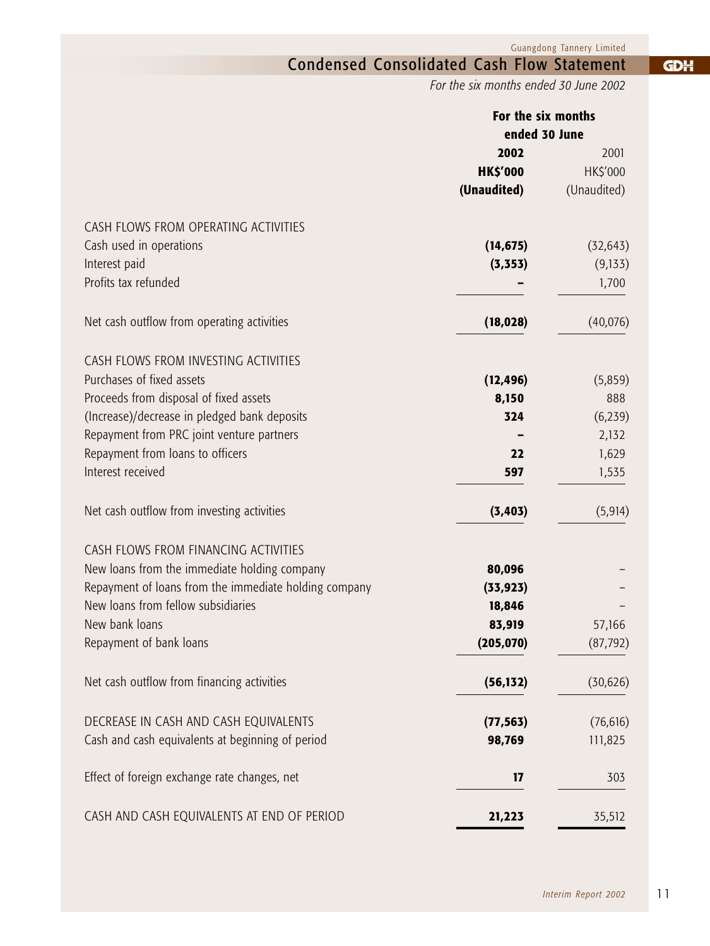$\overline{\text{CDH}}$ 

# Condensed Consolidated Cash Flow Statement

*For the six months ended 30 June 2002*

|                                                       | For the six months |             |
|-------------------------------------------------------|--------------------|-------------|
|                                                       | ended 30 June      |             |
|                                                       | 2002               | 2001        |
|                                                       | <b>HK\$'000</b>    | HK\$'000    |
|                                                       | (Unaudited)        | (Unaudited) |
|                                                       |                    |             |
| CASH FLOWS FROM OPERATING ACTIVITIES                  |                    |             |
| Cash used in operations                               | (14, 675)          | (32, 643)   |
| Interest paid                                         | (3, 353)           | (9,133)     |
| Profits tax refunded                                  |                    | 1,700       |
|                                                       |                    |             |
| Net cash outflow from operating activities            | (18, 028)          | (40,076)    |
| CASH FLOWS FROM INVESTING ACTIVITIES                  |                    |             |
| Purchases of fixed assets                             | (12, 496)          | (5,859)     |
| Proceeds from disposal of fixed assets                | 8,150              | 888         |
| (Increase)/decrease in pledged bank deposits          | 324                | (6, 239)    |
| Repayment from PRC joint venture partners             |                    | 2,132       |
| Repayment from loans to officers                      | 22                 | 1,629       |
| Interest received                                     | 597                | 1,535       |
| Net cash outflow from investing activities            | (3, 403)           | (5, 914)    |
|                                                       |                    |             |
| CASH FLOWS FROM FINANCING ACTIVITIES                  |                    |             |
| New loans from the immediate holding company          | 80,096             |             |
| Repayment of loans from the immediate holding company | (33, 923)          |             |
| New loans from fellow subsidiaries                    | 18,846             |             |
| New bank loans                                        | 83,919             | 57,166      |
| Repayment of bank loans                               | (205, 070)         | (87, 792)   |
| Net cash outflow from financing activities            | (56, 132)          | (30, 626)   |
| DECREASE IN CASH AND CASH EQUIVALENTS                 | (77, 563)          | (76, 616)   |
| Cash and cash equivalents at beginning of period      | 98,769             | 111,825     |
|                                                       |                    |             |
| Effect of foreign exchange rate changes, net          | 17                 | 303         |
| CASH AND CASH EQUIVALENTS AT END OF PERIOD            | 21,223             | 35,512      |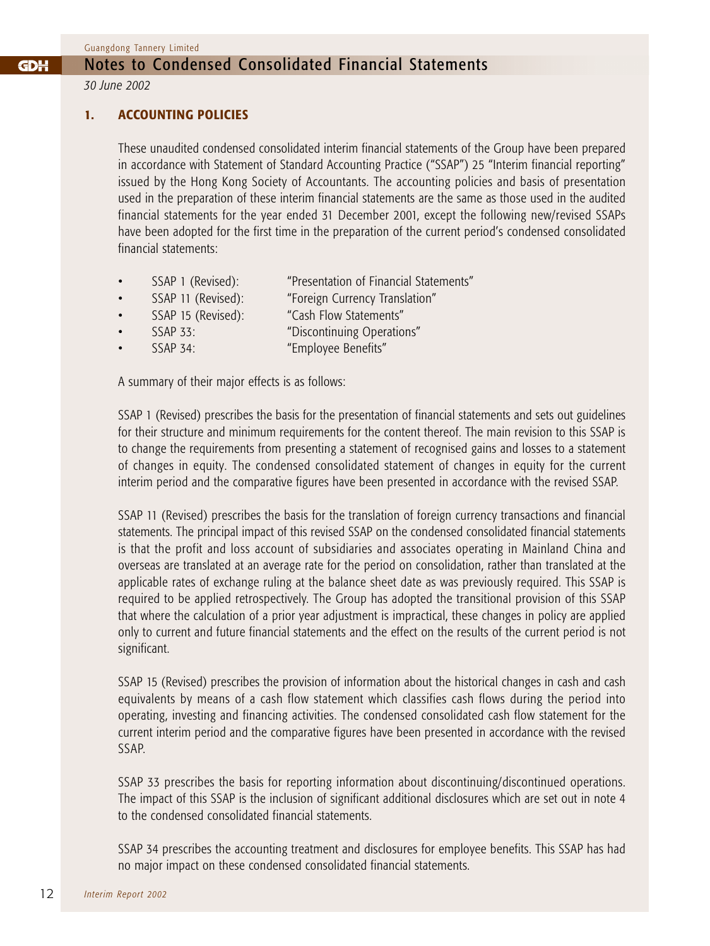#### Notes to Condensed Consolidated Financial Statements GDH

*30 June 2002*

#### **1. ACCOUNTING POLICIES**

These unaudited condensed consolidated interim financial statements of the Group have been prepared in accordance with Statement of Standard Accounting Practice ("SSAP") 25 "Interim financial reporting" issued by the Hong Kong Society of Accountants. The accounting policies and basis of presentation used in the preparation of these interim financial statements are the same as those used in the audited financial statements for the year ended 31 December 2001, except the following new/revised SSAPs have been adopted for the first time in the preparation of the current period's condensed consolidated financial statements:

- SSAP 1 (Revised): "Presentation of Financial Statements"
- SSAP 11 (Revised): "Foreign Currency Translation"
- SSAP 15 (Revised): "Cash Flow Statements"
- SSAP 33: "Discontinuing Operations"
- SSAP 34: "Employee Benefits"

A summary of their major effects is as follows:

SSAP 1 (Revised) prescribes the basis for the presentation of financial statements and sets out guidelines for their structure and minimum requirements for the content thereof. The main revision to this SSAP is to change the requirements from presenting a statement of recognised gains and losses to a statement of changes in equity. The condensed consolidated statement of changes in equity for the current interim period and the comparative figures have been presented in accordance with the revised SSAP.

SSAP 11 (Revised) prescribes the basis for the translation of foreign currency transactions and financial statements. The principal impact of this revised SSAP on the condensed consolidated financial statements is that the profit and loss account of subsidiaries and associates operating in Mainland China and overseas are translated at an average rate for the period on consolidation, rather than translated at the applicable rates of exchange ruling at the balance sheet date as was previously required. This SSAP is required to be applied retrospectively. The Group has adopted the transitional provision of this SSAP that where the calculation of a prior year adjustment is impractical, these changes in policy are applied only to current and future financial statements and the effect on the results of the current period is not significant.

SSAP 15 (Revised) prescribes the provision of information about the historical changes in cash and cash equivalents by means of a cash flow statement which classifies cash flows during the period into operating, investing and financing activities. The condensed consolidated cash flow statement for the current interim period and the comparative figures have been presented in accordance with the revised SSAP.

SSAP 33 prescribes the basis for reporting information about discontinuing/discontinued operations. The impact of this SSAP is the inclusion of significant additional disclosures which are set out in note 4 to the condensed consolidated financial statements.

SSAP 34 prescribes the accounting treatment and disclosures for employee benefits. This SSAP has had no major impact on these condensed consolidated financial statements.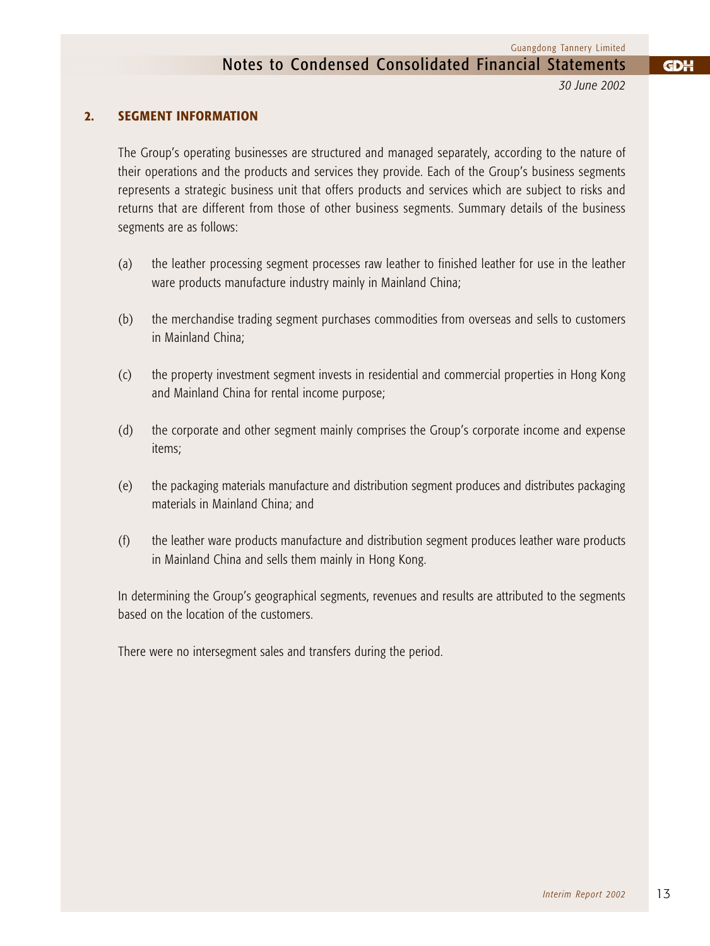*30 June 2002*

GDH

### **2. SEGMENT INFORMATION**

The Group's operating businesses are structured and managed separately, according to the nature of their operations and the products and services they provide. Each of the Group's business segments represents a strategic business unit that offers products and services which are subject to risks and returns that are different from those of other business segments. Summary details of the business segments are as follows:

- (a) the leather processing segment processes raw leather to finished leather for use in the leather ware products manufacture industry mainly in Mainland China;
- (b) the merchandise trading segment purchases commodities from overseas and sells to customers in Mainland China;
- (c) the property investment segment invests in residential and commercial properties in Hong Kong and Mainland China for rental income purpose;
- (d) the corporate and other segment mainly comprises the Group's corporate income and expense items;
- (e) the packaging materials manufacture and distribution segment produces and distributes packaging materials in Mainland China; and
- (f) the leather ware products manufacture and distribution segment produces leather ware products in Mainland China and sells them mainly in Hong Kong.

In determining the Group's geographical segments, revenues and results are attributed to the segments based on the location of the customers.

There were no intersegment sales and transfers during the period.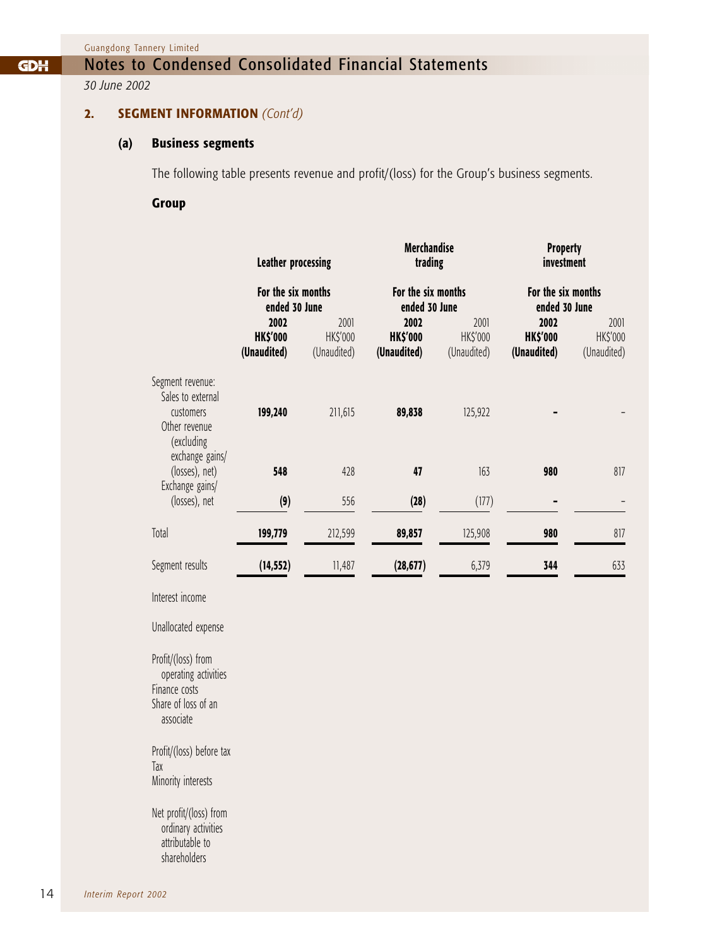# Notes to Condensed Consolidated Financial Statements

*30 June 2002*

## **2. SEGMENT INFORMATION** *(Cont'd)*

## **(a) Business segments**

The following table presents revenue and profit/(loss) for the Group's business segments.

### **Group**

|                                                                                                 | <b>Leather processing</b>              |                                 | <b>Merchandise</b><br>trading          |                                 | <b>Property</b><br>investment          |                                 |  |
|-------------------------------------------------------------------------------------------------|----------------------------------------|---------------------------------|----------------------------------------|---------------------------------|----------------------------------------|---------------------------------|--|
|                                                                                                 | For the six months<br>ended 30 June    |                                 | For the six months<br>ended 30 June    |                                 | For the six months<br>ended 30 June    |                                 |  |
|                                                                                                 | 2002<br><b>HK\$'000</b><br>(Unaudited) | 2001<br>HK\$'000<br>(Unaudited) | 2002<br><b>HK\$'000</b><br>(Unaudited) | 2001<br>HK\$'000<br>(Unaudited) | 2002<br><b>HK\$'000</b><br>(Unaudited) | 2001<br>HK\$'000<br>(Unaudited) |  |
| Segment revenue:<br>Sales to external<br>customers<br>Other revenue<br>(excluding               | 199,240                                | 211,615                         | 89,838                                 | 125,922                         |                                        |                                 |  |
| exchange gains/<br>(losses), net)                                                               | 548                                    | 428                             | 47                                     | 163                             | 980                                    | 817                             |  |
| Exchange gains/<br>(losses), net                                                                | (9)                                    | 556                             | (28)                                   | (177)                           |                                        |                                 |  |
| Total                                                                                           | 199,779                                | 212,599                         | 89,857                                 | 125,908                         | 980                                    | 817                             |  |
| Segment results                                                                                 | (14, 552)                              | 11,487                          | (28, 677)                              | 6,379                           | 344                                    | 633                             |  |
| Interest income                                                                                 |                                        |                                 |                                        |                                 |                                        |                                 |  |
| Unallocated expense                                                                             |                                        |                                 |                                        |                                 |                                        |                                 |  |
| Profit/(loss) from<br>operating activities<br>Finance costs<br>Share of loss of an<br>associate |                                        |                                 |                                        |                                 |                                        |                                 |  |
| Profit/(loss) before tax<br>Tax<br>Minority interests                                           |                                        |                                 |                                        |                                 |                                        |                                 |  |
| Net profit/(loss) from<br>ordinary activities<br>attributable to<br>shareholders                |                                        |                                 |                                        |                                 |                                        |                                 |  |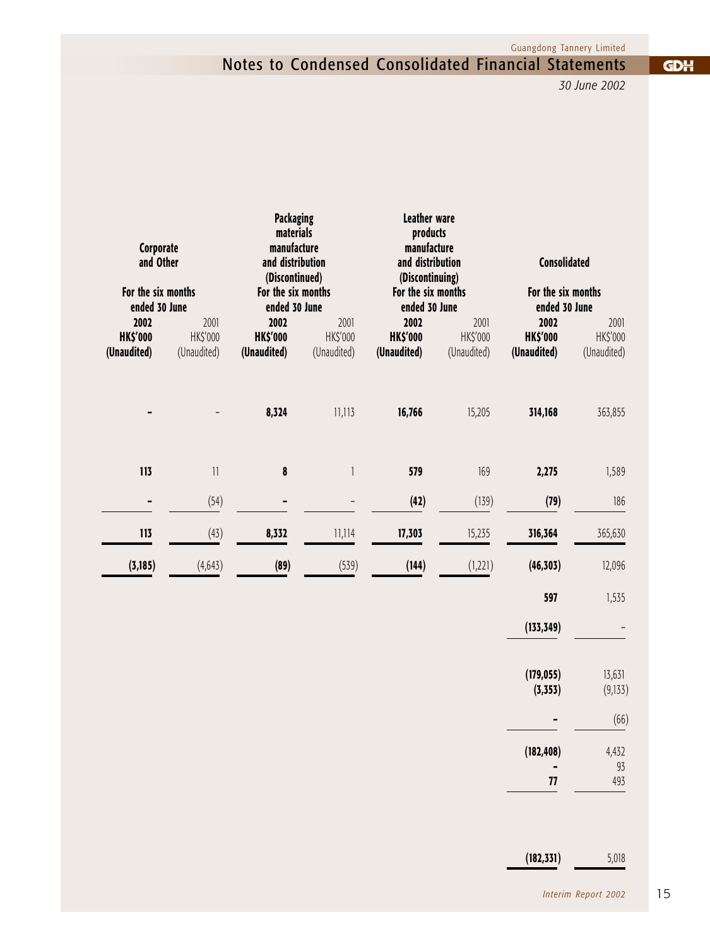Notes to Condensed Consolidated Financial Statements

*30 June 2002*

| Corporate<br>and Other |                                       |                       | <b>Packaging</b><br>materials<br>manufacture<br>and distribution<br>(Discontinued) |                       | <b>Leather ware</b><br>products<br>manufacture<br>and distribution<br>(Discontinuing) | <b>Consolidated</b>    |                   |  |
|------------------------|---------------------------------------|-----------------------|------------------------------------------------------------------------------------|-----------------------|---------------------------------------------------------------------------------------|------------------------|-------------------|--|
| For the six months     |                                       | For the six months    |                                                                                    | For the six months    |                                                                                       | For the six months     |                   |  |
| ended 30 June<br>2002  | 2001                                  | ended 30 June<br>2002 | 2001                                                                               | ended 30 June<br>2002 | 2001                                                                                  | ended 30 June<br>2002  | 2001              |  |
| <b>HK\$'000</b>        | HK\$'000                              | <b>HK\$'000</b>       | HK\$'000                                                                           | <b>HK\$'000</b>       | HK\$'000                                                                              | <b>HK\$'000</b>        | HK\$'000          |  |
| (Unaudited)            | (Unaudited)                           | (Unaudited)           | (Unaudited)                                                                        | (Unaudited)           | (Unaudited)                                                                           | (Unaudited)            | (Unaudited)       |  |
|                        |                                       | 8,324                 | 11,113                                                                             | 16,766                | 15,205                                                                                | 314,168                | 363,855           |  |
| 113                    | $\begin{array}{c} \hline \end{array}$ | 8                     | $\mathbf{I}$                                                                       | 579                   | 169                                                                                   | 2,275                  | 1,589             |  |
|                        | (54)                                  | -                     |                                                                                    | (42)                  | (139)                                                                                 | (79)                   | 186               |  |
| 113                    | (43)                                  | 8,332                 | 11,114                                                                             | 17,303                | 15,235                                                                                | 316,364                | 365,630           |  |
| (3, 185)               | (4, 643)                              | (89)                  | (539)                                                                              | (144)                 | (1, 221)                                                                              | (46, 303)              | 12,096            |  |
|                        |                                       |                       |                                                                                    |                       |                                                                                       | 597                    | 1,535             |  |
|                        |                                       |                       |                                                                                    |                       |                                                                                       | (133, 349)             |                   |  |
|                        |                                       |                       |                                                                                    |                       |                                                                                       | (179, 055)<br>(3, 353) | 13,631<br>(9,133) |  |
|                        |                                       |                       |                                                                                    |                       |                                                                                       |                        | (66)              |  |
|                        |                                       |                       |                                                                                    |                       |                                                                                       | (182, 408)             | 4,432             |  |
|                        |                                       |                       |                                                                                    |                       |                                                                                       | ${\bf 77}$             | $93\,$<br>493     |  |
|                        |                                       |                       |                                                                                    |                       |                                                                                       |                        |                   |  |

**(182,331)** 5,018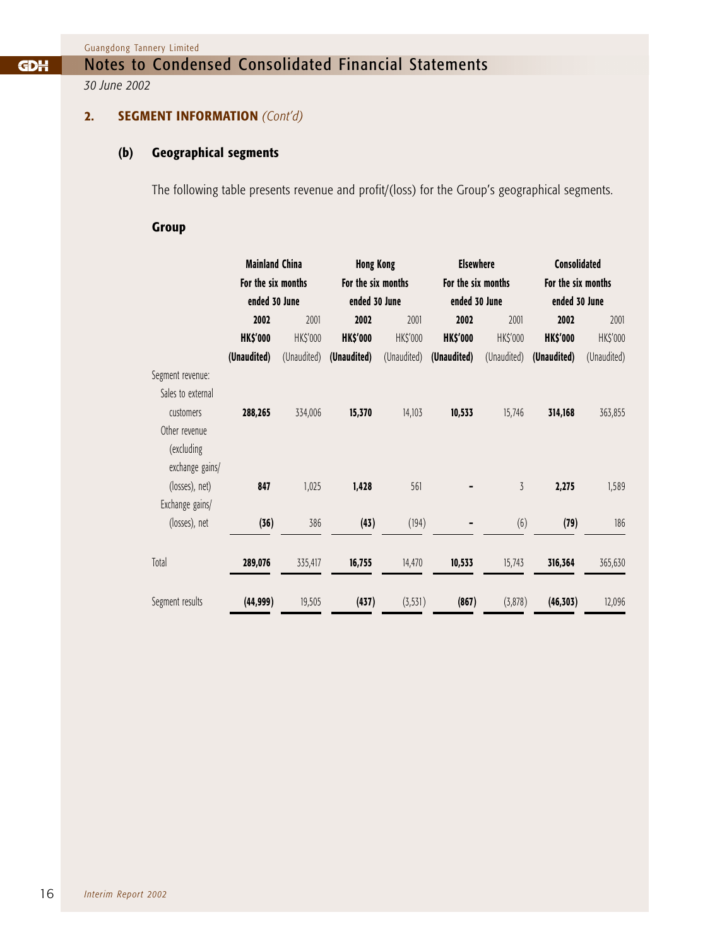#### Notes to Condensed Consolidated Financial Statements **GDH**

*30 June 2002*

# **2. SEGMENT INFORMATION** *(Cont'd)*

## **(b) Geographical segments**

The following table presents revenue and profit/(loss) for the Group's geographical segments.

### **Group**

|                   | <b>Mainland China</b><br>For the six months |             |                    | <b>Hong Kong</b> |                    | <b>Elsewhere</b> |                    | <b>Consolidated</b> |  |
|-------------------|---------------------------------------------|-------------|--------------------|------------------|--------------------|------------------|--------------------|---------------------|--|
|                   |                                             |             | For the six months |                  | For the six months |                  | For the six months |                     |  |
|                   | ended 30 June                               |             | ended 30 June      |                  |                    | ended 30 June    |                    | ended 30 June       |  |
|                   | 2002                                        | 2001        |                    | 2002<br>2001     |                    | 2001             | 2002               | 2001                |  |
|                   | <b>HK\$'000</b>                             | HK\$'000    | <b>HK\$'000</b>    | HK\$'000         | <b>HK\$'000</b>    | HK\$'000         | <b>HK\$'000</b>    | HK\$'000            |  |
|                   | (Unaudited)                                 | (Unaudited) | (Unaudited)        | (Unaudited)      | (Unaudited)        | (Unaudited)      | (Unaudited)        | (Unaudited)         |  |
| Segment revenue:  |                                             |             |                    |                  |                    |                  |                    |                     |  |
| Sales to external |                                             |             |                    |                  |                    |                  |                    |                     |  |
| customers         | 288,265                                     | 334,006     | 15,370             | 14,103           | 10,533             | 15,746           | 314,168            | 363,855             |  |
| Other revenue     |                                             |             |                    |                  |                    |                  |                    |                     |  |
| (excluding        |                                             |             |                    |                  |                    |                  |                    |                     |  |
| exchange gains/   |                                             |             |                    |                  |                    |                  |                    |                     |  |
| (losses), net)    | 847                                         | 1,025       | 1,428              | 561              |                    | $\overline{3}$   | 2,275              | 1,589               |  |
| Exchange gains/   |                                             |             |                    |                  |                    |                  |                    |                     |  |
| (losses), net     | (36)                                        | 386         | (43)               | (194)            |                    | (6)              | (79)               | 186                 |  |
| Total             | 289,076                                     | 335,417     | 16,755             | 14,470           | 10,533             | 15,743           | 316,364            | 365,630             |  |
| Segment results   | (44, 999)                                   | 19,505      | (437)              | (3, 531)         | (867)              | (3,878)          | (46, 303)          | 12,096              |  |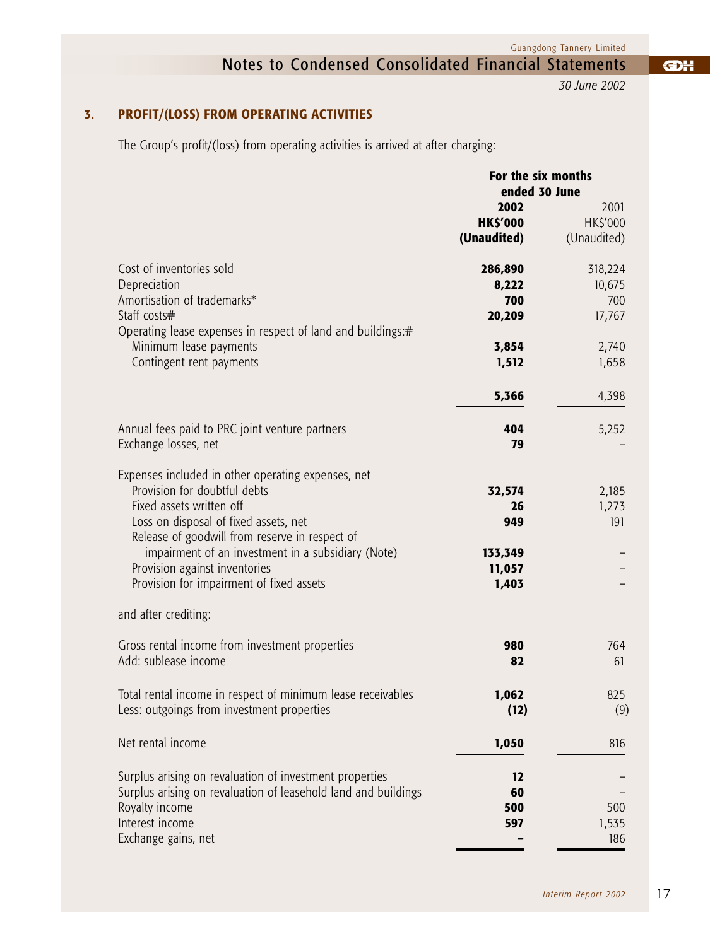Notes to Condensed Consolidated Financial Statements

*30 June 2002*

**GDH** 

# **3. PROFIT/(LOSS) FROM OPERATING ACTIVITIES**

The Group's profit/(loss) from operating activities is arrived at after charging:

|                                                                | For the six months |             |
|----------------------------------------------------------------|--------------------|-------------|
|                                                                | ended 30 June      |             |
|                                                                | 2002               | 2001        |
|                                                                | <b>HK\$'000</b>    | HK\$'000    |
|                                                                | (Unaudited)        | (Unaudited) |
| Cost of inventories sold                                       | 286,890            | 318,224     |
| Depreciation                                                   | 8,222              | 10,675      |
| Amortisation of trademarks*                                    | 700                | 700         |
| Staff costs#                                                   | 20,209             | 17,767      |
| Operating lease expenses in respect of land and buildings:#    |                    |             |
| Minimum lease payments                                         | 3,854              | 2,740       |
| Contingent rent payments                                       | 1,512              | 1,658       |
|                                                                |                    |             |
|                                                                | 5,366              | 4,398       |
| Annual fees paid to PRC joint venture partners                 | 404                | 5,252       |
| Exchange losses, net                                           | 79                 |             |
|                                                                |                    |             |
| Expenses included in other operating expenses, net             |                    |             |
| Provision for doubtful debts                                   | 32,574             | 2,185       |
| Fixed assets written off                                       | 26                 | 1,273       |
| Loss on disposal of fixed assets, net                          | 949                | 191         |
| Release of goodwill from reserve in respect of                 |                    |             |
| impairment of an investment in a subsidiary (Note)             | 133,349            |             |
| Provision against inventories                                  | 11,057             |             |
| Provision for impairment of fixed assets                       | 1,403              |             |
| and after crediting:                                           |                    |             |
| Gross rental income from investment properties                 | 980                | 764         |
| Add: sublease income                                           | 82                 | 61          |
|                                                                |                    |             |
| Total rental income in respect of minimum lease receivables    | 1,062              | 825         |
| Less: outgoings from investment properties                     | (12)               | (9)         |
| Net rental income                                              | 1,050              | 816         |
|                                                                |                    |             |
| Surplus arising on revaluation of investment properties        | 12                 |             |
| Surplus arising on revaluation of leasehold land and buildings | 60                 |             |
| Royalty income                                                 | 500                | 500         |
| Interest income                                                | 597                | 1,535       |
| Exchange gains, net                                            |                    | 186         |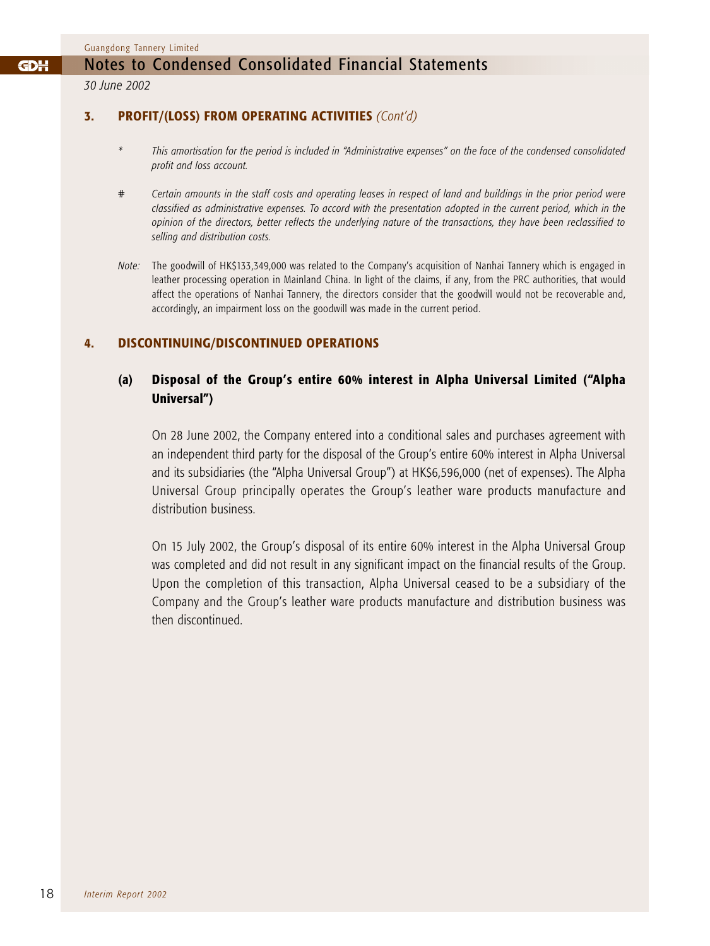#### Notes to Condensed Consolidated Financial Statements GDH

*30 June 2002*

#### **3. PROFIT/(LOSS) FROM OPERATING ACTIVITIES** *(Cont'd)*

- *\* This amortisation for the period is included in "Administrative expenses" on the face of the condensed consolidated profit and loss account.*
- *# Certain amounts in the staff costs and operating leases in respect of land and buildings in the prior period were classified as administrative expenses. To accord with the presentation adopted in the current period, which in the opinion of the directors, better reflects the underlying nature of the transactions, they have been reclassified to selling and distribution costs.*
- *Note:* The goodwill of HK\$133,349,000 was related to the Company's acquisition of Nanhai Tannery which is engaged in leather processing operation in Mainland China. In light of the claims, if any, from the PRC authorities, that would affect the operations of Nanhai Tannery, the directors consider that the goodwill would not be recoverable and, accordingly, an impairment loss on the goodwill was made in the current period.

#### **4. DISCONTINUING/DISCONTINUED OPERATIONS**

### **(a) Disposal of the Group's entire 60% interest in Alpha Universal Limited ("Alpha Universal")**

On 28 June 2002, the Company entered into a conditional sales and purchases agreement with an independent third party for the disposal of the Group's entire 60% interest in Alpha Universal and its subsidiaries (the "Alpha Universal Group") at HK\$6,596,000 (net of expenses). The Alpha Universal Group principally operates the Group's leather ware products manufacture and distribution business.

On 15 July 2002, the Group's disposal of its entire 60% interest in the Alpha Universal Group was completed and did not result in any significant impact on the financial results of the Group. Upon the completion of this transaction, Alpha Universal ceased to be a subsidiary of the Company and the Group's leather ware products manufacture and distribution business was then discontinued.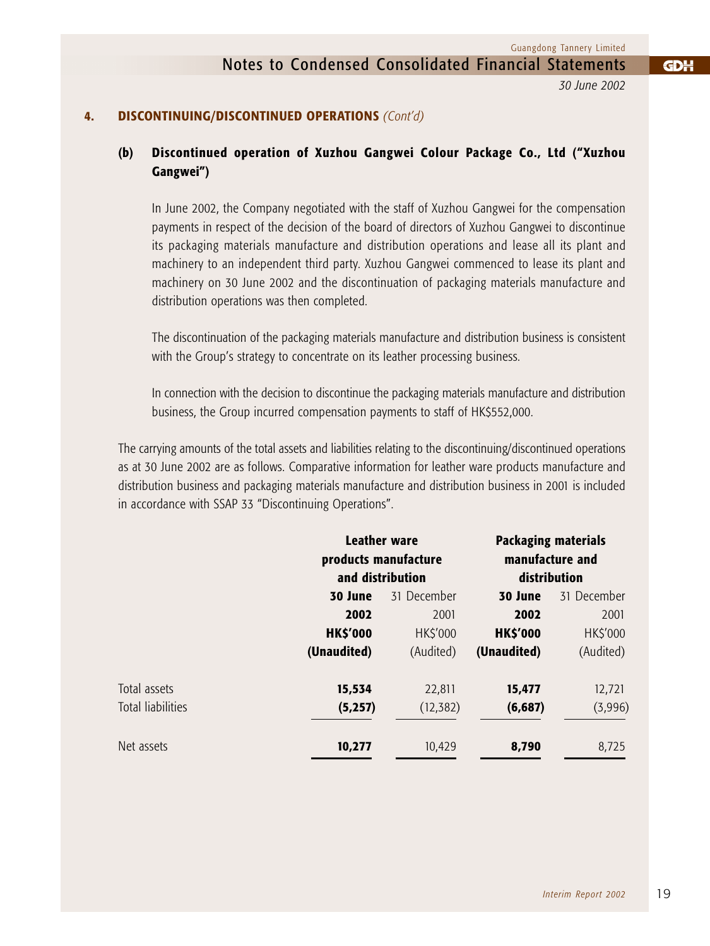Notes to Condensed Consolidated Financial Statements

*30 June 2002*

**GDH** 

#### **4. DISCONTINUING/DISCONTINUED OPERATIONS** *(Cont'd)*

### **(b) Discontinued operation of Xuzhou Gangwei Colour Package Co., Ltd ("Xuzhou Gangwei")**

In June 2002, the Company negotiated with the staff of Xuzhou Gangwei for the compensation payments in respect of the decision of the board of directors of Xuzhou Gangwei to discontinue its packaging materials manufacture and distribution operations and lease all its plant and machinery to an independent third party. Xuzhou Gangwei commenced to lease its plant and machinery on 30 June 2002 and the discontinuation of packaging materials manufacture and distribution operations was then completed.

The discontinuation of the packaging materials manufacture and distribution business is consistent with the Group's strategy to concentrate on its leather processing business.

In connection with the decision to discontinue the packaging materials manufacture and distribution business, the Group incurred compensation payments to staff of HK\$552,000.

The carrying amounts of the total assets and liabilities relating to the discontinuing/discontinued operations as at 30 June 2002 are as follows. Comparative information for leather ware products manufacture and distribution business and packaging materials manufacture and distribution business in 2001 is included in accordance with SSAP 33 "Discontinuing Operations".

|                          | <b>Leather ware</b><br>products manufacture<br>and distribution | <b>Packaging materials</b><br>manufacture and<br>distribution |                 |             |  |
|--------------------------|-----------------------------------------------------------------|---------------------------------------------------------------|-----------------|-------------|--|
|                          | 30 June                                                         | 31 December                                                   | 30 June         | 31 December |  |
|                          | 2002                                                            | 2001                                                          | 2002            | 2001        |  |
|                          | <b>HK\$'000</b>                                                 | <b>HKS'000</b>                                                | <b>HK\$'000</b> | HK\$'000    |  |
|                          | (Unaudited)                                                     | (Audited)                                                     | (Unaudited)     | (Audited)   |  |
| Total assets             | 15,534                                                          | 22,811                                                        | 15,477          | 12,721      |  |
| <b>Total liabilities</b> | (5, 257)                                                        | (12, 382)                                                     | (6, 687)        | (3,996)     |  |
| Net assets               | 10,277                                                          | 10,429                                                        | 8,790           | 8,725       |  |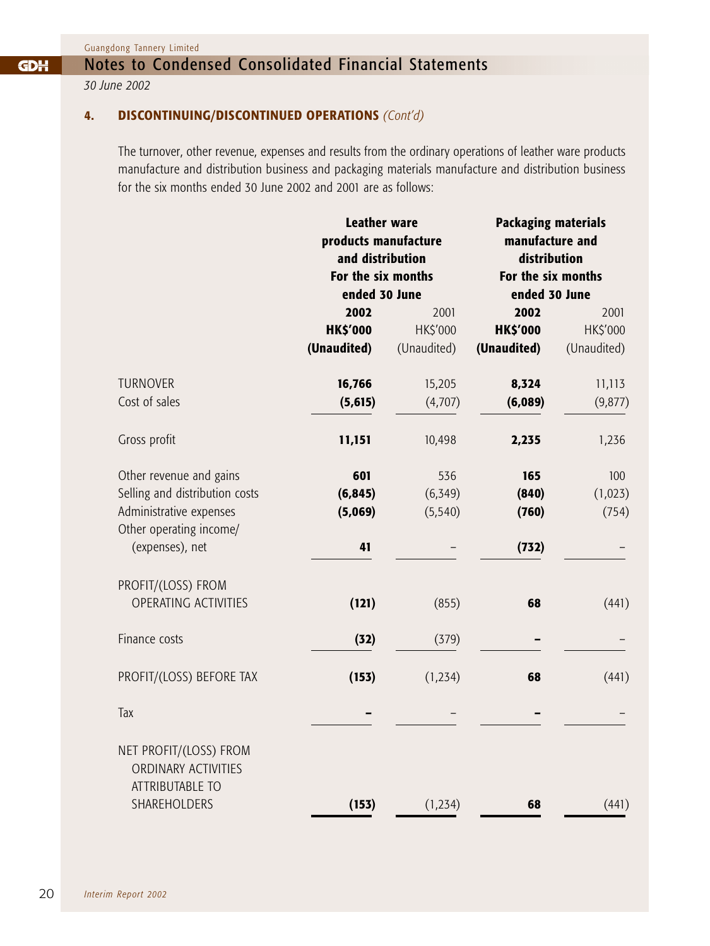#### Notes to Condensed Consolidated Financial Statements **GDH**

*30 June 2002*

# **4. DISCONTINUING/DISCONTINUED OPERATIONS** *(Cont'd)*

The turnover, other revenue, expenses and results from the ordinary operations of leather ware products manufacture and distribution business and packaging materials manufacture and distribution business for the six months ended 30 June 2002 and 2001 are as follows:

|                                                                         | <b>Leather ware</b><br>products manufacture |             | <b>Packaging materials</b><br>manufacture and |             |
|-------------------------------------------------------------------------|---------------------------------------------|-------------|-----------------------------------------------|-------------|
|                                                                         | and distribution                            |             | distribution                                  |             |
|                                                                         | For the six months                          |             | For the six months                            |             |
|                                                                         | ended 30 June                               |             | ended 30 June                                 |             |
|                                                                         | 2002                                        | 2001        | 2002                                          | 2001        |
|                                                                         | <b>HK\$'000</b>                             | HK\$'000    | <b>HK\$'000</b>                               | HK\$'000    |
|                                                                         | (Unaudited)                                 | (Unaudited) | (Unaudited)                                   | (Unaudited) |
| <b>TURNOVER</b>                                                         | 16,766                                      | 15,205      | 8,324                                         | 11,113      |
| Cost of sales                                                           | (5, 615)                                    | (4,707)     | (6,089)                                       | (9, 877)    |
| Gross profit                                                            | 11,151                                      | 10,498      | 2,235                                         | 1,236       |
| Other revenue and gains                                                 | 601                                         | 536         | 165                                           | 100         |
| Selling and distribution costs                                          | (6, 845)                                    | (6, 349)    | (840)                                         | (1,023)     |
| Administrative expenses                                                 | (5,069)                                     | (5, 540)    | (760)                                         | (754)       |
| Other operating income/                                                 |                                             |             |                                               |             |
| (expenses), net                                                         | 41                                          |             | (732)                                         |             |
| PROFIT/(LOSS) FROM                                                      |                                             |             |                                               |             |
| OPERATING ACTIVITIES                                                    | (121)                                       | (855)       | 68                                            | (441)       |
| Finance costs                                                           | (32)                                        | (379)       |                                               |             |
| PROFIT/(LOSS) BEFORE TAX                                                | (153)                                       | (1, 234)    | 68                                            | (441)       |
| Tax                                                                     |                                             |             |                                               |             |
| NET PROFIT/(LOSS) FROM<br>ORDINARY ACTIVITIES<br><b>ATTRIBUTABLE TO</b> |                                             |             |                                               |             |
| SHAREHOLDERS                                                            | (153)                                       | (1, 234)    | 68                                            | (441)       |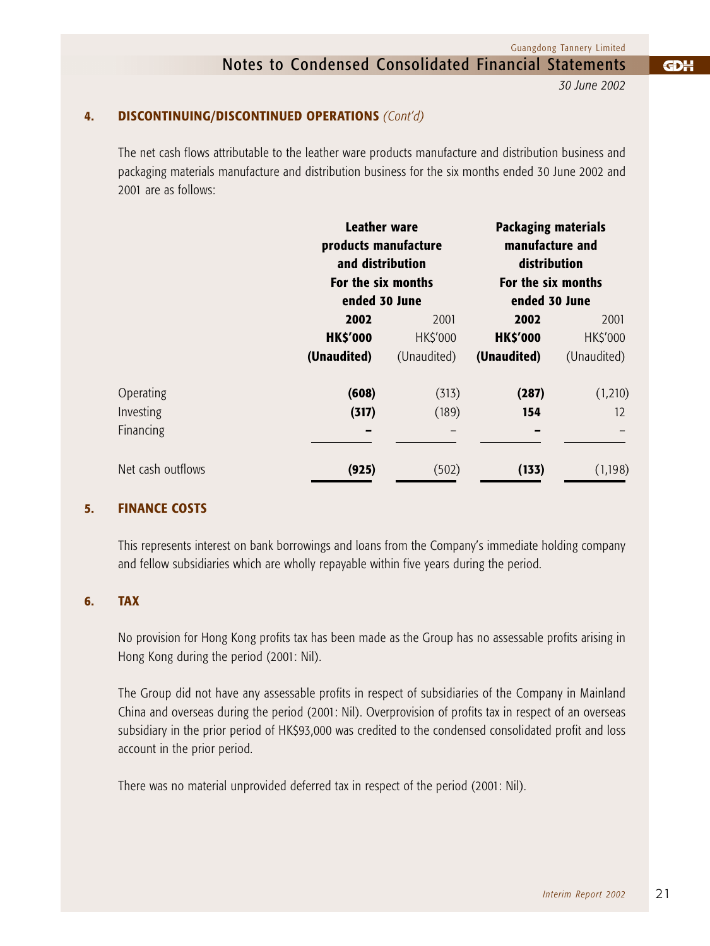Notes to Condensed Consolidated Financial Statements

*30 June 2002*

**GDH** 

### **4. DISCONTINUING/DISCONTINUED OPERATIONS** *(Cont'd)*

The net cash flows attributable to the leather ware products manufacture and distribution business and packaging materials manufacture and distribution business for the six months ended 30 June 2002 and 2001 are as follows:

|                   | <b>Leather ware</b><br>products manufacture<br>and distribution<br>For the six months |             | <b>Packaging materials</b><br>manufacture and<br>distribution<br>For the six months |             |
|-------------------|---------------------------------------------------------------------------------------|-------------|-------------------------------------------------------------------------------------|-------------|
|                   | ended 30 June                                                                         |             | ended 30 June                                                                       |             |
|                   | 2002                                                                                  | 2001        | 2002                                                                                | 2001        |
|                   | <b>HK\$'000</b>                                                                       | HK\$'000    | <b>HK\$'000</b>                                                                     | HK\$'000    |
|                   | (Unaudited)                                                                           | (Unaudited) | (Unaudited)                                                                         | (Unaudited) |
| Operating         | (608)                                                                                 | (313)       | (287)                                                                               | (1,210)     |
| Investing         | (317)                                                                                 | (189)       | 154                                                                                 | 12          |
| Financing         |                                                                                       |             | -                                                                                   |             |
| Net cash outflows | (925)                                                                                 | (502)       | (133)                                                                               | (1,198)     |

#### **5. FINANCE COSTS**

This represents interest on bank borrowings and loans from the Company's immediate holding company and fellow subsidiaries which are wholly repayable within five years during the period.

#### **6. TAX**

No provision for Hong Kong profits tax has been made as the Group has no assessable profits arising in Hong Kong during the period (2001: Nil).

The Group did not have any assessable profits in respect of subsidiaries of the Company in Mainland China and overseas during the period (2001: Nil). Overprovision of profits tax in respect of an overseas subsidiary in the prior period of HK\$93,000 was credited to the condensed consolidated profit and loss account in the prior period.

There was no material unprovided deferred tax in respect of the period (2001: Nil).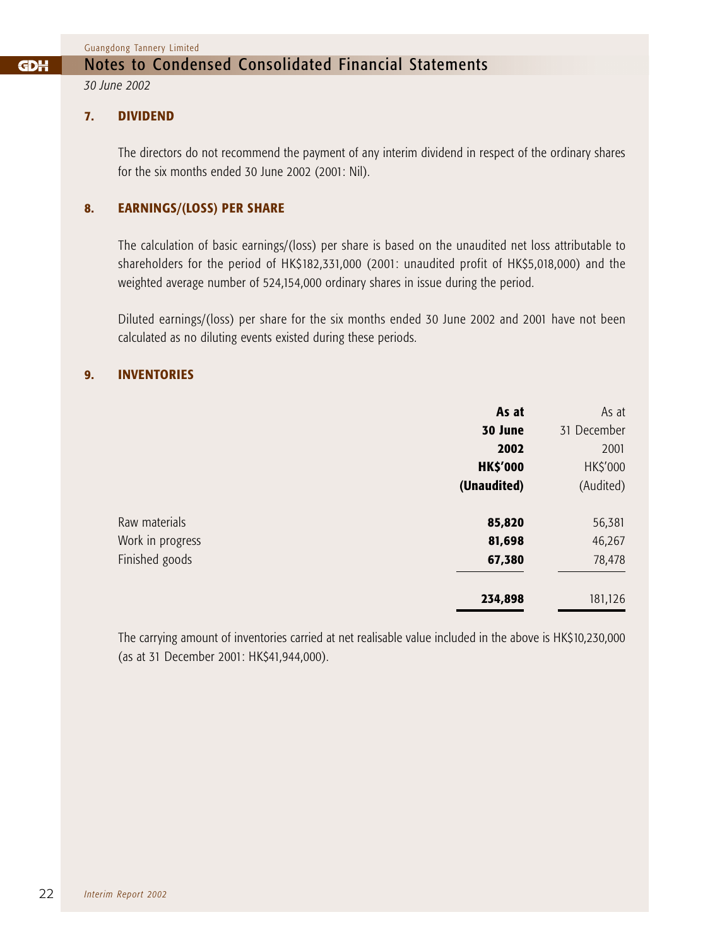#### Notes to Condensed Consolidated Financial Statements **GDH**

*30 June 2002*

#### **7. DIVIDEND**

The directors do not recommend the payment of any interim dividend in respect of the ordinary shares for the six months ended 30 June 2002 (2001: Nil).

#### **8. EARNINGS/(LOSS) PER SHARE**

The calculation of basic earnings/(loss) per share is based on the unaudited net loss attributable to shareholders for the period of HK\$182,331,000 (2001: unaudited profit of HK\$5,018,000) and the weighted average number of 524,154,000 ordinary shares in issue during the period.

Diluted earnings/(loss) per share for the six months ended 30 June 2002 and 2001 have not been calculated as no diluting events existed during these periods.

#### **9. INVENTORIES**

| As at           | As at       |
|-----------------|-------------|
| 30 June         | 31 December |
| 2002            | 2001        |
| <b>HK\$'000</b> | HK\$'000    |
| (Unaudited)     | (Audited)   |
| 85,820          | 56,381      |
| 81,698          | 46,267      |
| 67,380          | 78,478      |
| 234,898         | 181,126     |
|                 |             |

The carrying amount of inventories carried at net realisable value included in the above is HK\$10,230,000 (as at 31 December 2001: HK\$41,944,000).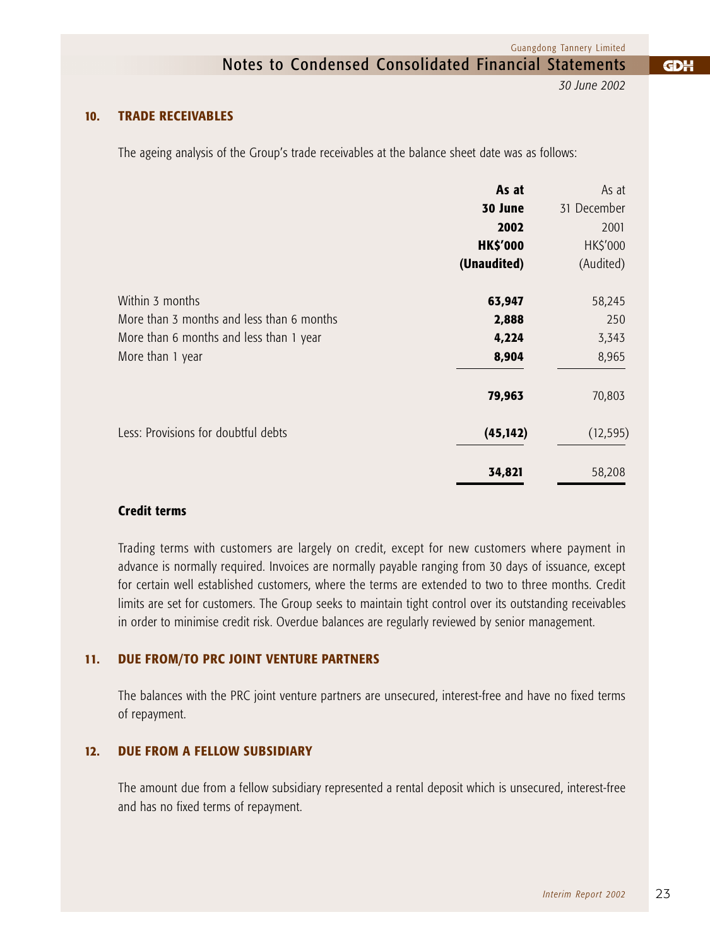Notes to Condensed Consolidated Financial Statements

*30 June 2002*

**GDH** 

### **10. TRADE RECEIVABLES**

The ageing analysis of the Group's trade receivables at the balance sheet date was as follows:

|                                           | As at           | As at       |
|-------------------------------------------|-----------------|-------------|
|                                           | 30 June         | 31 December |
|                                           | 2002            | 2001        |
|                                           | <b>HK\$'000</b> | HK\$'000    |
|                                           | (Unaudited)     | (Audited)   |
| Within 3 months                           | 63,947          | 58,245      |
| More than 3 months and less than 6 months | 2,888           | 250         |
| More than 6 months and less than 1 year   | 4,224           | 3,343       |
| More than 1 year                          | 8,904           | 8,965       |
|                                           | 79,963          | 70,803      |
| Less: Provisions for doubtful debts       | (45, 142)       | (12, 595)   |
|                                           | 34,821          | 58,208      |

### **Credit terms**

Trading terms with customers are largely on credit, except for new customers where payment in advance is normally required. Invoices are normally payable ranging from 30 days of issuance, except for certain well established customers, where the terms are extended to two to three months. Credit limits are set for customers. The Group seeks to maintain tight control over its outstanding receivables in order to minimise credit risk. Overdue balances are regularly reviewed by senior management.

#### **11. DUE FROM/TO PRC JOINT VENTURE PARTNERS**

The balances with the PRC joint venture partners are unsecured, interest-free and have no fixed terms of repayment.

#### **12. DUE FROM A FELLOW SUBSIDIARY**

The amount due from a fellow subsidiary represented a rental deposit which is unsecured, interest-free and has no fixed terms of repayment.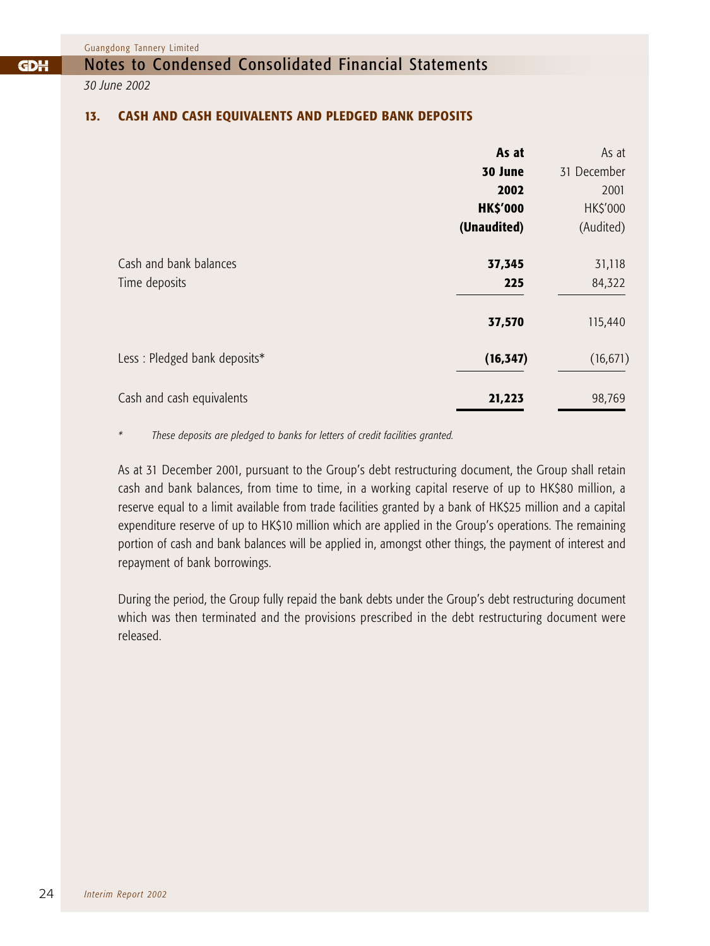# Notes to Condensed Consolidated Financial Statements

*30 June 2002*

#### **13. CASH AND CASH EQUIVALENTS AND PLEDGED BANK DEPOSITS**

|                              | As at           | As at       |
|------------------------------|-----------------|-------------|
|                              | 30 June         | 31 December |
|                              | 2002            | 2001        |
|                              | <b>HK\$'000</b> | HK\$'000    |
|                              | (Unaudited)     | (Audited)   |
| Cash and bank balances       | 37,345          | 31,118      |
| Time deposits                | 225             | 84,322      |
|                              | 37,570          | 115,440     |
| Less: Pledged bank deposits* | (16, 347)       | (16, 671)   |
| Cash and cash equivalents    | 21,223          | 98,769      |

*\* These deposits are pledged to banks for letters of credit facilities granted.*

As at 31 December 2001, pursuant to the Group's debt restructuring document, the Group shall retain cash and bank balances, from time to time, in a working capital reserve of up to HK\$80 million, a reserve equal to a limit available from trade facilities granted by a bank of HK\$25 million and a capital expenditure reserve of up to HK\$10 million which are applied in the Group's operations. The remaining portion of cash and bank balances will be applied in, amongst other things, the payment of interest and repayment of bank borrowings.

During the period, the Group fully repaid the bank debts under the Group's debt restructuring document which was then terminated and the provisions prescribed in the debt restructuring document were released.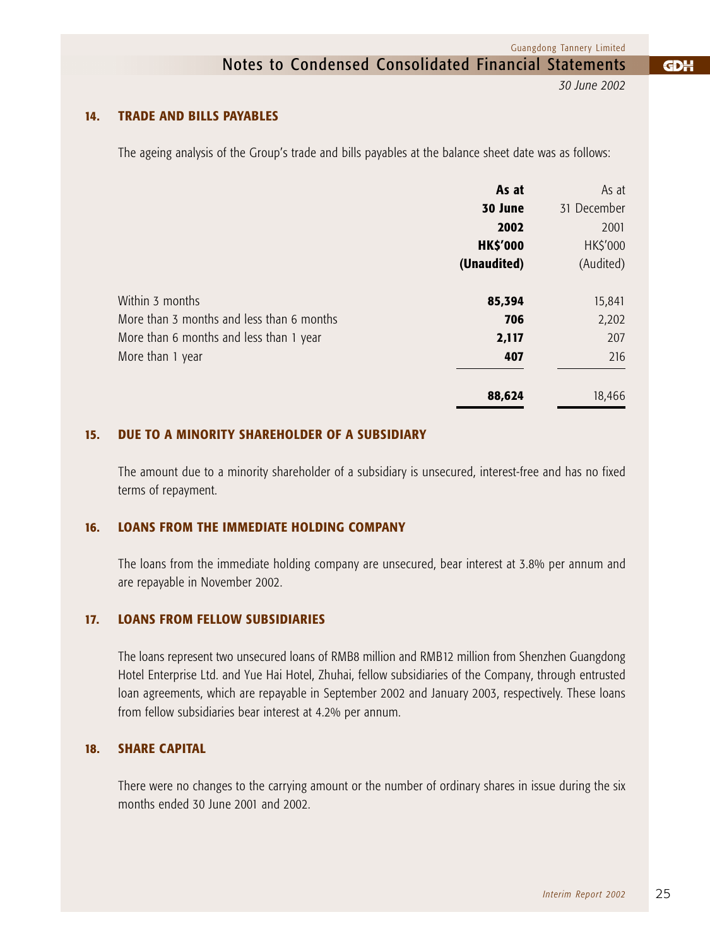Notes to Condensed Consolidated Financial Statements

*30 June 2002*

**GDH** 

### **14. TRADE AND BILLS PAYABLES**

The ageing analysis of the Group's trade and bills payables at the balance sheet date was as follows:

|                                           | As at           | As at           |
|-------------------------------------------|-----------------|-----------------|
|                                           | 30 June         | 31 December     |
|                                           | 2002            | 2001            |
|                                           | <b>HK\$'000</b> | <b>HK\$'000</b> |
|                                           | (Unaudited)     | (Audited)       |
| Within 3 months                           |                 |                 |
|                                           | 85,394          | 15,841          |
| More than 3 months and less than 6 months | 706             | 2,202           |
| More than 6 months and less than 1 year   | 2,117           | 207             |
| More than 1 year                          | 407             | 216             |
|                                           | 88,624          | 18,466          |

#### **15. DUE TO A MINORITY SHAREHOLDER OF A SUBSIDIARY**

The amount due to a minority shareholder of a subsidiary is unsecured, interest-free and has no fixed terms of repayment.

#### **16. LOANS FROM THE IMMEDIATE HOLDING COMPANY**

The loans from the immediate holding company are unsecured, bear interest at 3.8% per annum and are repayable in November 2002.

### **17. LOANS FROM FELLOW SUBSIDIARIES**

The loans represent two unsecured loans of RMB8 million and RMB12 million from Shenzhen Guangdong Hotel Enterprise Ltd. and Yue Hai Hotel, Zhuhai, fellow subsidiaries of the Company, through entrusted loan agreements, which are repayable in September 2002 and January 2003, respectively. These loans from fellow subsidiaries bear interest at 4.2% per annum.

#### **18. SHARE CAPITAL**

There were no changes to the carrying amount or the number of ordinary shares in issue during the six months ended 30 June 2001 and 2002.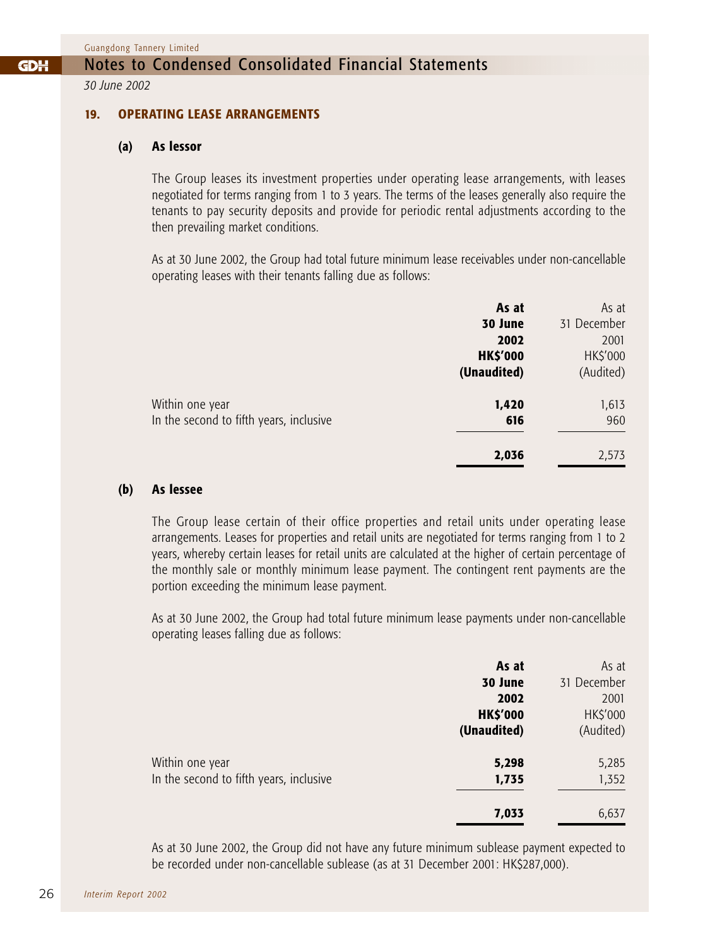#### Notes to Condensed Consolidated Financial Statements **GDH**

*30 June 2002*

#### **19. OPERATING LEASE ARRANGEMENTS**

#### **(a) As lessor**

The Group leases its investment properties under operating lease arrangements, with leases negotiated for terms ranging from 1 to 3 years. The terms of the leases generally also require the tenants to pay security deposits and provide for periodic rental adjustments according to the then prevailing market conditions.

As at 30 June 2002, the Group had total future minimum lease receivables under non-cancellable operating leases with their tenants falling due as follows:

|                                         | As at           | As at       |
|-----------------------------------------|-----------------|-------------|
|                                         | 30 June         | 31 December |
|                                         | 2002            | 2001        |
|                                         | <b>HK\$'000</b> | HK\$'000    |
|                                         | (Unaudited)     | (Audited)   |
| Within one year                         | 1,420           | 1,613       |
| In the second to fifth years, inclusive | 616             | 960         |
|                                         | 2,036           | 2,573       |
|                                         |                 |             |

#### **(b) As lessee**

The Group lease certain of their office properties and retail units under operating lease arrangements. Leases for properties and retail units are negotiated for terms ranging from 1 to 2 years, whereby certain leases for retail units are calculated at the higher of certain percentage of the monthly sale or monthly minimum lease payment. The contingent rent payments are the portion exceeding the minimum lease payment.

As at 30 June 2002, the Group had total future minimum lease payments under non-cancellable operating leases falling due as follows:

|                                         | As at           | As at       |
|-----------------------------------------|-----------------|-------------|
|                                         | 30 June         | 31 December |
|                                         | 2002            | 2001        |
|                                         | <b>HK\$'000</b> | HK\$'000    |
|                                         | (Unaudited)     | (Audited)   |
| Within one year                         | 5,298           | 5,285       |
| In the second to fifth years, inclusive | 1,735           | 1,352       |
|                                         | 7,033           | 6,637       |

As at 30 June 2002, the Group did not have any future minimum sublease payment expected to be recorded under non-cancellable sublease (as at 31 December 2001: HK\$287,000).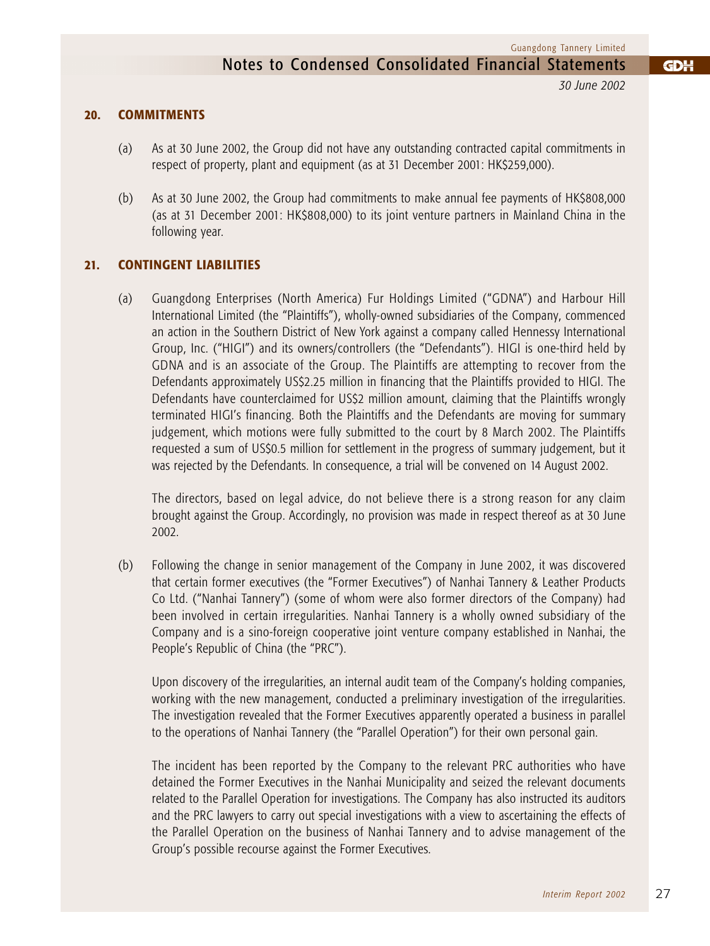*30 June 2002*

**GDH** 

#### **20. COMMITMENTS**

- (a) As at 30 June 2002, the Group did not have any outstanding contracted capital commitments in respect of property, plant and equipment (as at 31 December 2001: HK\$259,000).
- (b) As at 30 June 2002, the Group had commitments to make annual fee payments of HK\$808,000 (as at 31 December 2001: HK\$808,000) to its joint venture partners in Mainland China in the following year.

#### **21. CONTINGENT LIABILITIES**

(a) Guangdong Enterprises (North America) Fur Holdings Limited ("GDNA") and Harbour Hill International Limited (the "Plaintiffs"), wholly-owned subsidiaries of the Company, commenced an action in the Southern District of New York against a company called Hennessy International Group, Inc. ("HIGI") and its owners/controllers (the "Defendants"). HIGI is one-third held by GDNA and is an associate of the Group. The Plaintiffs are attempting to recover from the Defendants approximately US\$2.25 million in financing that the Plaintiffs provided to HIGI. The Defendants have counterclaimed for US\$2 million amount, claiming that the Plaintiffs wrongly terminated HIGI's financing. Both the Plaintiffs and the Defendants are moving for summary judgement, which motions were fully submitted to the court by 8 March 2002. The Plaintiffs requested a sum of US\$0.5 million for settlement in the progress of summary judgement, but it was rejected by the Defendants. In consequence, a trial will be convened on 14 August 2002.

The directors, based on legal advice, do not believe there is a strong reason for any claim brought against the Group. Accordingly, no provision was made in respect thereof as at 30 June 2002.

(b) Following the change in senior management of the Company in June 2002, it was discovered that certain former executives (the "Former Executives") of Nanhai Tannery & Leather Products Co Ltd. ("Nanhai Tannery") (some of whom were also former directors of the Company) had been involved in certain irregularities. Nanhai Tannery is a wholly owned subsidiary of the Company and is a sino-foreign cooperative joint venture company established in Nanhai, the People's Republic of China (the "PRC").

Upon discovery of the irregularities, an internal audit team of the Company's holding companies, working with the new management, conducted a preliminary investigation of the irregularities. The investigation revealed that the Former Executives apparently operated a business in parallel to the operations of Nanhai Tannery (the "Parallel Operation") for their own personal gain.

The incident has been reported by the Company to the relevant PRC authorities who have detained the Former Executives in the Nanhai Municipality and seized the relevant documents related to the Parallel Operation for investigations. The Company has also instructed its auditors and the PRC lawyers to carry out special investigations with a view to ascertaining the effects of the Parallel Operation on the business of Nanhai Tannery and to advise management of the Group's possible recourse against the Former Executives.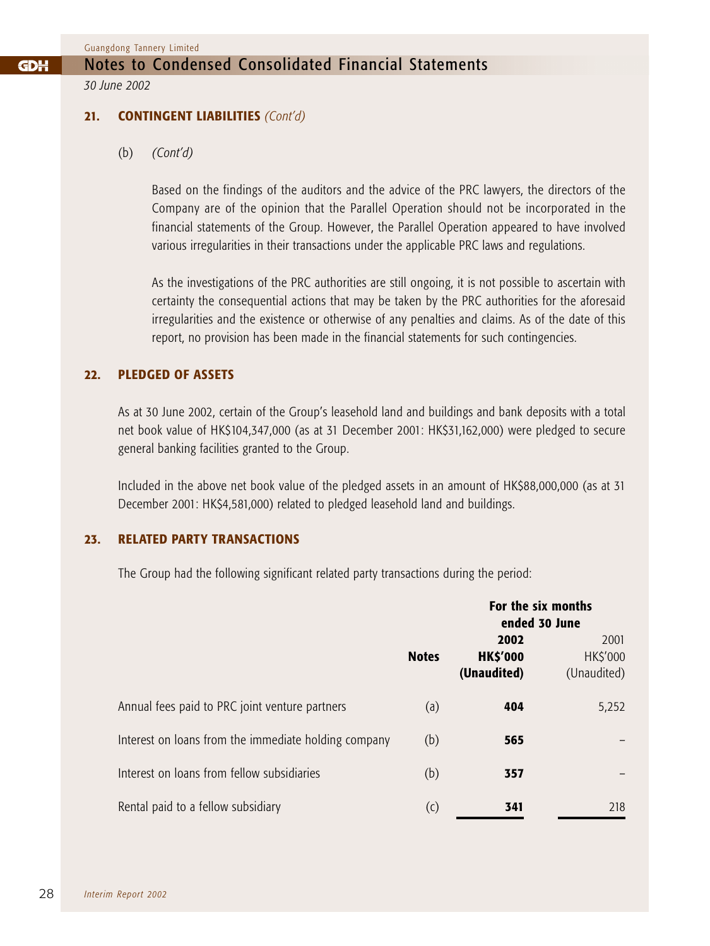# Notes to Condensed Consolidated Financial Statements

*30 June 2002*

#### **21. CONTINGENT LIABILITIES** *(Cont'd)*

(b) *(Cont'd)*

Based on the findings of the auditors and the advice of the PRC lawyers, the directors of the Company are of the opinion that the Parallel Operation should not be incorporated in the financial statements of the Group. However, the Parallel Operation appeared to have involved various irregularities in their transactions under the applicable PRC laws and regulations.

As the investigations of the PRC authorities are still ongoing, it is not possible to ascertain with certainty the consequential actions that may be taken by the PRC authorities for the aforesaid irregularities and the existence or otherwise of any penalties and claims. As of the date of this report, no provision has been made in the financial statements for such contingencies.

#### **22. PLEDGED OF ASSETS**

As at 30 June 2002, certain of the Group's leasehold land and buildings and bank deposits with a total net book value of HK\$104,347,000 (as at 31 December 2001: HK\$31,162,000) were pledged to secure general banking facilities granted to the Group.

Included in the above net book value of the pledged assets in an amount of HK\$88,000,000 (as at 31 December 2001: HK\$4,581,000) related to pledged leasehold land and buildings.

#### **23. RELATED PARTY TRANSACTIONS**

The Group had the following significant related party transactions during the period:

|                                                      | For the six months<br>ended 30 June |                                        |                                        |
|------------------------------------------------------|-------------------------------------|----------------------------------------|----------------------------------------|
|                                                      | <b>Notes</b>                        | 2002<br><b>HK\$'000</b><br>(Unaudited) | 2001<br><b>HK\$'000</b><br>(Unaudited) |
| Annual fees paid to PRC joint venture partners       | (a)                                 | 404                                    | 5,252                                  |
| Interest on loans from the immediate holding company | (b)                                 | 565                                    |                                        |
| Interest on loans from fellow subsidiaries           | (b)                                 | 357                                    |                                        |
| Rental paid to a fellow subsidiary                   | $\left( 0 \right)$                  | 341                                    | 218                                    |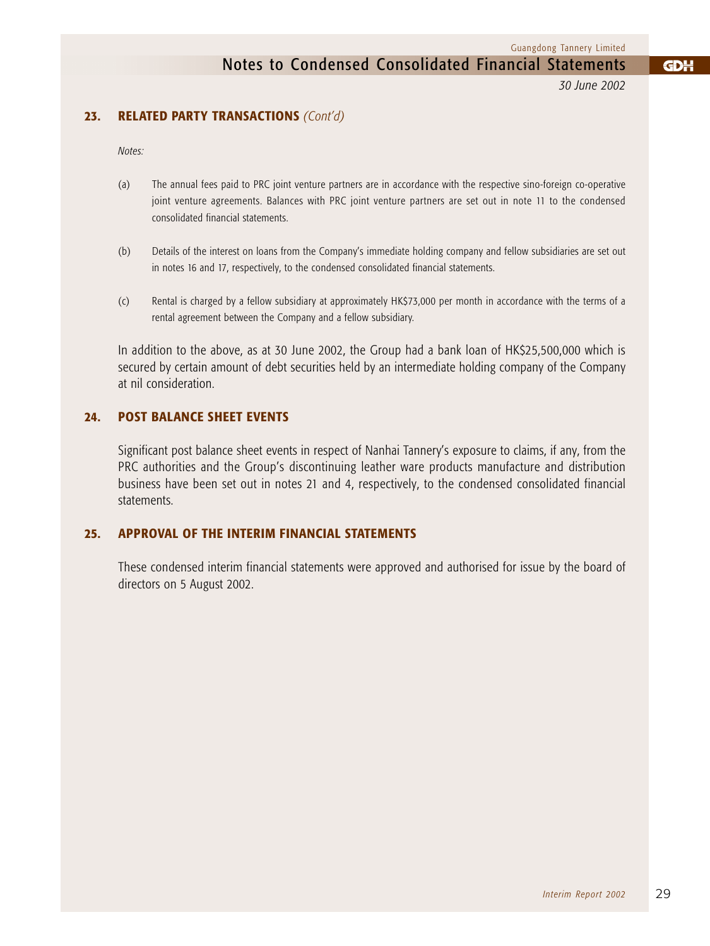Notes to Condensed Consolidated Financial Statements

*30 June 2002*

**GDH** 

#### **23. RELATED PARTY TRANSACTIONS** *(Cont'd)*

*Notes:*

- (a) The annual fees paid to PRC joint venture partners are in accordance with the respective sino-foreign co-operative joint venture agreements. Balances with PRC joint venture partners are set out in note 11 to the condensed consolidated financial statements.
- (b) Details of the interest on loans from the Company's immediate holding company and fellow subsidiaries are set out in notes 16 and 17, respectively, to the condensed consolidated financial statements.
- (c) Rental is charged by a fellow subsidiary at approximately HK\$73,000 per month in accordance with the terms of a rental agreement between the Company and a fellow subsidiary.

In addition to the above, as at 30 June 2002, the Group had a bank loan of HK\$25,500,000 which is secured by certain amount of debt securities held by an intermediate holding company of the Company at nil consideration.

#### **24. POST BALANCE SHEET EVENTS**

Significant post balance sheet events in respect of Nanhai Tannery's exposure to claims, if any, from the PRC authorities and the Group's discontinuing leather ware products manufacture and distribution business have been set out in notes 21 and 4, respectively, to the condensed consolidated financial statements.

#### **25. APPROVAL OF THE INTERIM FINANCIAL STATEMENTS**

These condensed interim financial statements were approved and authorised for issue by the board of directors on 5 August 2002.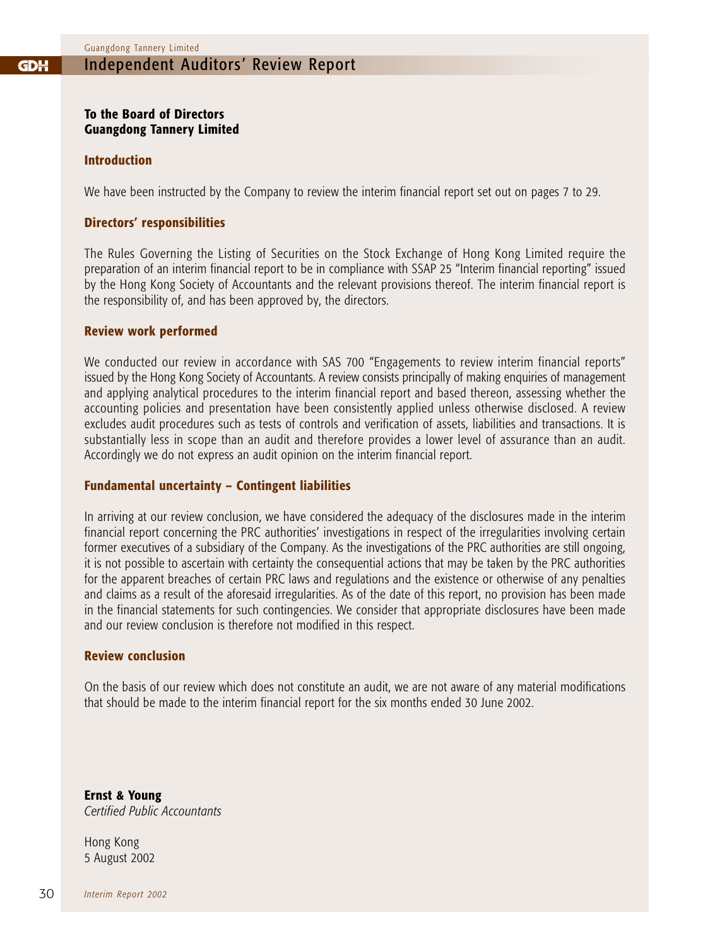#### Independent Auditors' Review Report GDH

#### **To the Board of Directors Guangdong Tannery Limited**

#### **Introduction**

We have been instructed by the Company to review the interim financial report set out on pages 7 to 29.

#### **Directors' responsibilities**

The Rules Governing the Listing of Securities on the Stock Exchange of Hong Kong Limited require the preparation of an interim financial report to be in compliance with SSAP 25 "Interim financial reporting" issued by the Hong Kong Society of Accountants and the relevant provisions thereof. The interim financial report is the responsibility of, and has been approved by, the directors.

#### **Review work performed**

We conducted our review in accordance with SAS 700 "Engagements to review interim financial reports" issued by the Hong Kong Society of Accountants. A review consists principally of making enquiries of management and applying analytical procedures to the interim financial report and based thereon, assessing whether the accounting policies and presentation have been consistently applied unless otherwise disclosed. A review excludes audit procedures such as tests of controls and verification of assets, liabilities and transactions. It is substantially less in scope than an audit and therefore provides a lower level of assurance than an audit. Accordingly we do not express an audit opinion on the interim financial report.

#### **Fundamental uncertainty – Contingent liabilities**

In arriving at our review conclusion, we have considered the adequacy of the disclosures made in the interim financial report concerning the PRC authorities' investigations in respect of the irregularities involving certain former executives of a subsidiary of the Company. As the investigations of the PRC authorities are still ongoing, it is not possible to ascertain with certainty the consequential actions that may be taken by the PRC authorities for the apparent breaches of certain PRC laws and regulations and the existence or otherwise of any penalties and claims as a result of the aforesaid irregularities. As of the date of this report, no provision has been made in the financial statements for such contingencies. We consider that appropriate disclosures have been made and our review conclusion is therefore not modified in this respect.

#### **Review conclusion**

On the basis of our review which does not constitute an audit, we are not aware of any material modifications that should be made to the interim financial report for the six months ended 30 June 2002.

**Ernst & Young** *Certified Public Accountants*

Hong Kong 5 August 2002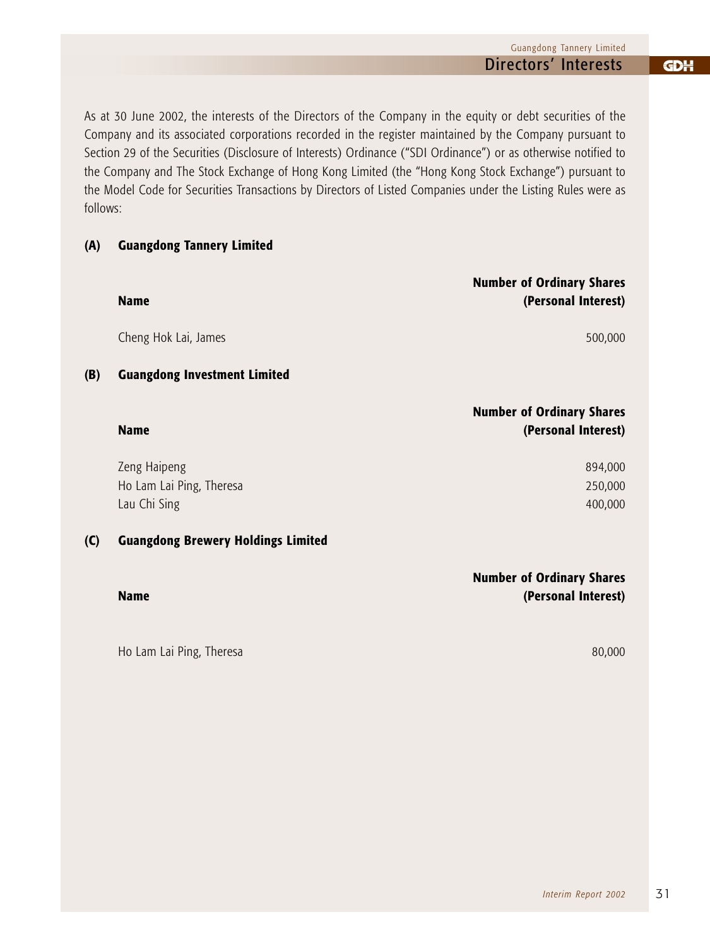| Guangdong Tannery Limited |            |
|---------------------------|------------|
| Directors' Interests      | <b>GDH</b> |
|                           |            |

As at 30 June 2002, the interests of the Directors of the Company in the equity or debt securities of the Company and its associated corporations recorded in the register maintained by the Company pursuant to Section 29 of the Securities (Disclosure of Interests) Ordinance ("SDI Ordinance") or as otherwise notified to the Company and The Stock Exchange of Hong Kong Limited (the "Hong Kong Stock Exchange") pursuant to the Model Code for Securities Transactions by Directors of Listed Companies under the Listing Rules were as follows:

### **(A) Guangdong Tannery Limited**

|     | <b>Name</b>                                              | <b>Number of Ordinary Shares</b><br>(Personal Interest) |
|-----|----------------------------------------------------------|---------------------------------------------------------|
|     | Cheng Hok Lai, James                                     | 500,000                                                 |
| (B) | <b>Guangdong Investment Limited</b>                      |                                                         |
|     | <b>Name</b>                                              | <b>Number of Ordinary Shares</b><br>(Personal Interest) |
|     | Zeng Haipeng<br>Ho Lam Lai Ping, Theresa<br>Lau Chi Sing | 894,000<br>250,000<br>400,000                           |
| (C) | <b>Guangdong Brewery Holdings Limited</b>                |                                                         |

|             | <b>Number of Ordinary Shares</b> |
|-------------|----------------------------------|
| <b>Name</b> | (Personal Interest)              |
|             |                                  |

Ho Lam Lai Ping, Theresa 80,000 and the same state of the same state of the same state of the same state of the same state of the same state of the same state of the same state of the same state of the same state of the sa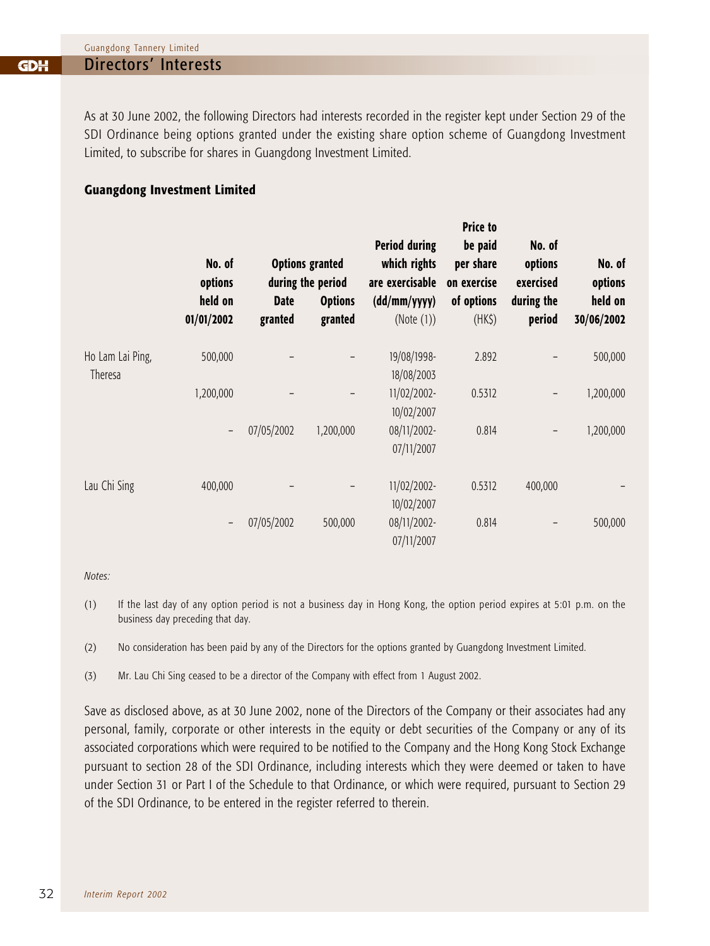As at 30 June 2002, the following Directors had interests recorded in the register kept under Section 29 of the SDI Ordinance being options granted under the existing share option scheme of Guangdong Investment Limited, to subscribe for shares in Guangdong Investment Limited.

#### **Guangdong Investment Limited**

|                             |                              |                                             |                |                                                         | <b>Price to</b>                     |                                |                   |
|-----------------------------|------------------------------|---------------------------------------------|----------------|---------------------------------------------------------|-------------------------------------|--------------------------------|-------------------|
|                             | No. of<br>options<br>held on | <b>Options granted</b><br>during the period |                | <b>Period during</b><br>which rights<br>are exercisable | be paid<br>per share<br>on exercise | No. of<br>options<br>exercised | No. of<br>options |
|                             |                              | <b>Date</b>                                 | <b>Options</b> | (dd/mm/yyyy)                                            | of options                          | during the                     | held on           |
|                             | 01/01/2002                   | granted                                     | granted        | (Note (1))                                              | $(HK\$                              | period                         | 30/06/2002        |
| Ho Lam Lai Ping,<br>Theresa | 500,000                      |                                             |                | 19/08/1998-                                             | 2.892                               |                                | 500,000           |
|                             | 1,200,000                    |                                             |                | 18/08/2003<br>11/02/2002-                               | 0.5312                              | $\overline{\phantom{0}}$       | 1,200,000         |
|                             | $\qquad \qquad -$            | 07/05/2002                                  | 1,200,000      | 10/02/2007<br>08/11/2002-<br>07/11/2007                 | 0.814                               |                                | 1,200,000         |
| Lau Chi Sing                | 400,000                      |                                             |                | 11/02/2002-<br>10/02/2007                               | 0.5312                              | 400,000                        |                   |
|                             | -                            | 07/05/2002                                  | 500,000        | 08/11/2002-<br>07/11/2007                               | 0.814                               |                                | 500,000           |

*Notes:*

- (1) If the last day of any option period is not a business day in Hong Kong, the option period expires at 5:01 p.m. on the business day preceding that day.
- (2) No consideration has been paid by any of the Directors for the options granted by Guangdong Investment Limited.
- (3) Mr. Lau Chi Sing ceased to be a director of the Company with effect from 1 August 2002.

Save as disclosed above, as at 30 June 2002, none of the Directors of the Company or their associates had any personal, family, corporate or other interests in the equity or debt securities of the Company or any of its associated corporations which were required to be notified to the Company and the Hong Kong Stock Exchange pursuant to section 28 of the SDI Ordinance, including interests which they were deemed or taken to have under Section 31 or Part I of the Schedule to that Ordinance, or which were required, pursuant to Section 29 of the SDI Ordinance, to be entered in the register referred to therein.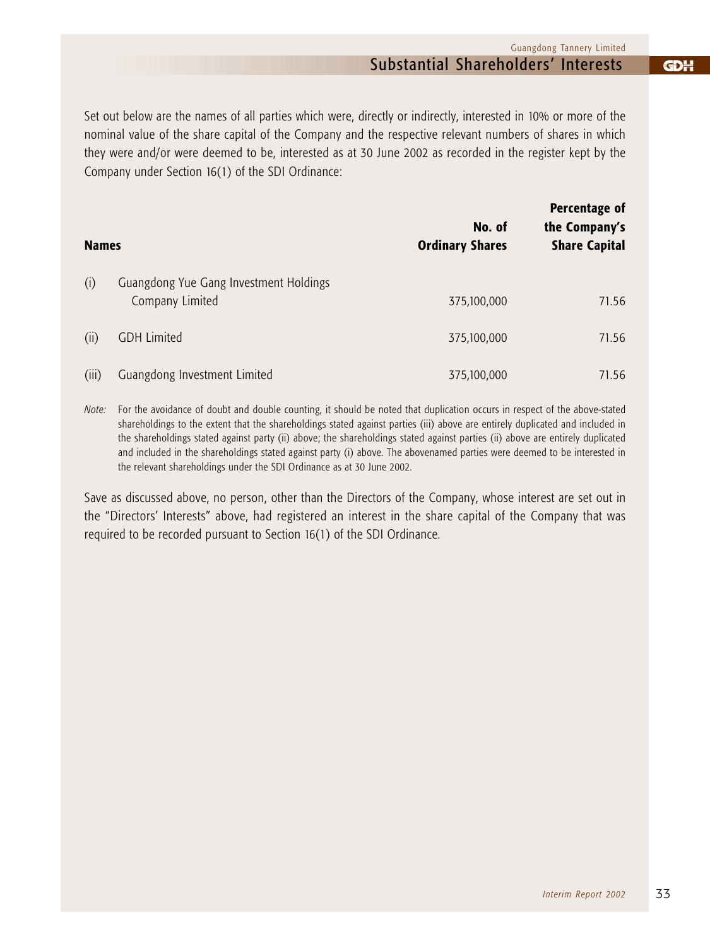**GDH** 

# Substantial Shareholders' Interests

Set out below are the names of all parties which were, directly or indirectly, interested in 10% or more of the nominal value of the share capital of the Company and the respective relevant numbers of shares in which they were and/or were deemed to be, interested as at 30 June 2002 as recorded in the register kept by the Company under Section 16(1) of the SDI Ordinance:

| <b>Names</b> |                                                           | No. of<br><b>Ordinary Shares</b> | Percentage of<br>the Company's<br><b>Share Capital</b> |  |
|--------------|-----------------------------------------------------------|----------------------------------|--------------------------------------------------------|--|
| (i)          | Guangdong Yue Gang Investment Holdings<br>Company Limited | 375,100,000                      | 71.56                                                  |  |
| (ii)         | <b>GDH</b> Limited                                        | 375,100,000                      | 71.56                                                  |  |
| (iii)        | Guangdong Investment Limited                              | 375,100,000                      | 71.56                                                  |  |

*Note:* For the avoidance of doubt and double counting, it should be noted that duplication occurs in respect of the above-stated shareholdings to the extent that the shareholdings stated against parties (iii) above are entirely duplicated and included in the shareholdings stated against party (ii) above; the shareholdings stated against parties (ii) above are entirely duplicated and included in the shareholdings stated against party (i) above. The abovenamed parties were deemed to be interested in the relevant shareholdings under the SDI Ordinance as at 30 June 2002.

Save as discussed above, no person, other than the Directors of the Company, whose interest are set out in the "Directors' Interests" above, had registered an interest in the share capital of the Company that was required to be recorded pursuant to Section 16(1) of the SDI Ordinance.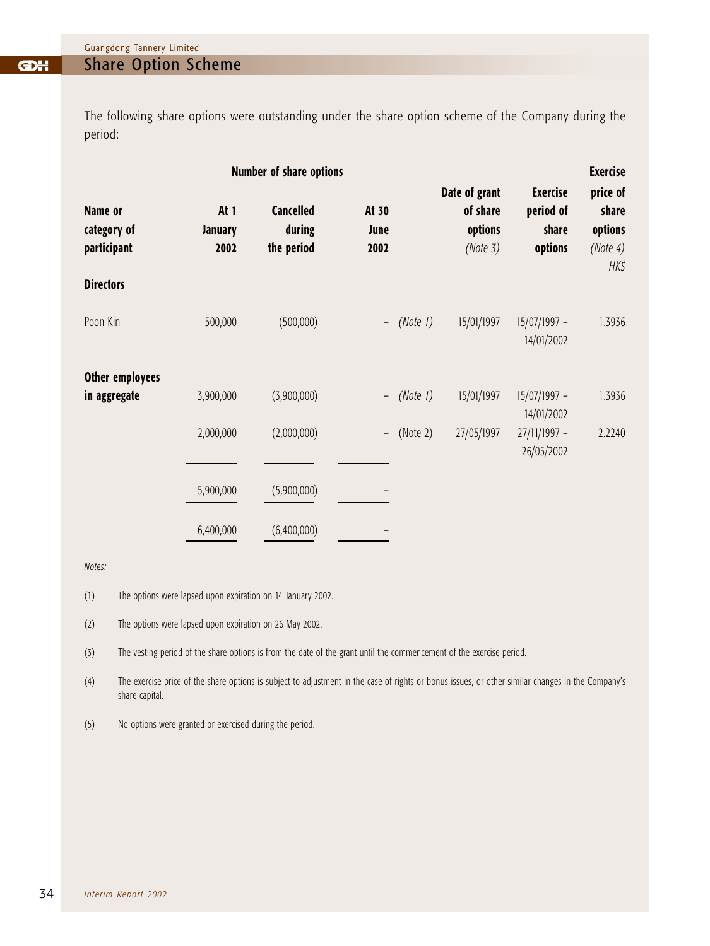The following share options were outstanding under the share option scheme of the Company during the period:

|                                       | Number of share options        |                                          |                          |          |                                                  |                                                  | <b>Exercise</b>                                     |
|---------------------------------------|--------------------------------|------------------------------------------|--------------------------|----------|--------------------------------------------------|--------------------------------------------------|-----------------------------------------------------|
| Name or<br>category of<br>participant | At 1<br><b>January</b><br>2002 | <b>Cancelled</b><br>during<br>the period | At 30<br>June<br>2002    |          | Date of grant<br>of share<br>options<br>(Note 3) | <b>Exercise</b><br>period of<br>share<br>options | price of<br>share<br>options<br>(Note $4$ )<br>HK\$ |
| <b>Directors</b>                      |                                |                                          |                          |          |                                                  |                                                  |                                                     |
| Poon Kin                              | 500,000                        | (500,000)                                | $\qquad \qquad -$        | (Note 1) | 15/01/1997                                       | 15/07/1997 -<br>14/01/2002                       | 1.3936                                              |
| <b>Other employees</b>                |                                |                                          |                          |          |                                                  |                                                  |                                                     |
| in aggregate                          | 3,900,000                      | (3,900,000)                              | $\overline{\phantom{a}}$ | (Note 1) | 15/01/1997                                       | 15/07/1997 -<br>14/01/2002                       | 1.3936                                              |
|                                       | 2,000,000                      | (2,000,000)                              | $\overline{\phantom{0}}$ | (Note 2) | 27/05/1997                                       | 27/11/1997 -<br>26/05/2002                       | 2.2240                                              |
|                                       | 5,900,000                      | (5,900,000)                              |                          |          |                                                  |                                                  |                                                     |
|                                       | 6,400,000                      | (6,400,000)                              |                          |          |                                                  |                                                  |                                                     |

*Notes:*

(1) The options were lapsed upon expiration on 14 January 2002.

(2) The options were lapsed upon expiration on 26 May 2002.

(3) The vesting period of the share options is from the date of the grant until the commencement of the exercise period.

(4) The exercise price of the share options is subject to adjustment in the case of rights or bonus issues, or other similar changes in the Company's share capital.

(5) No options were granted or exercised during the period.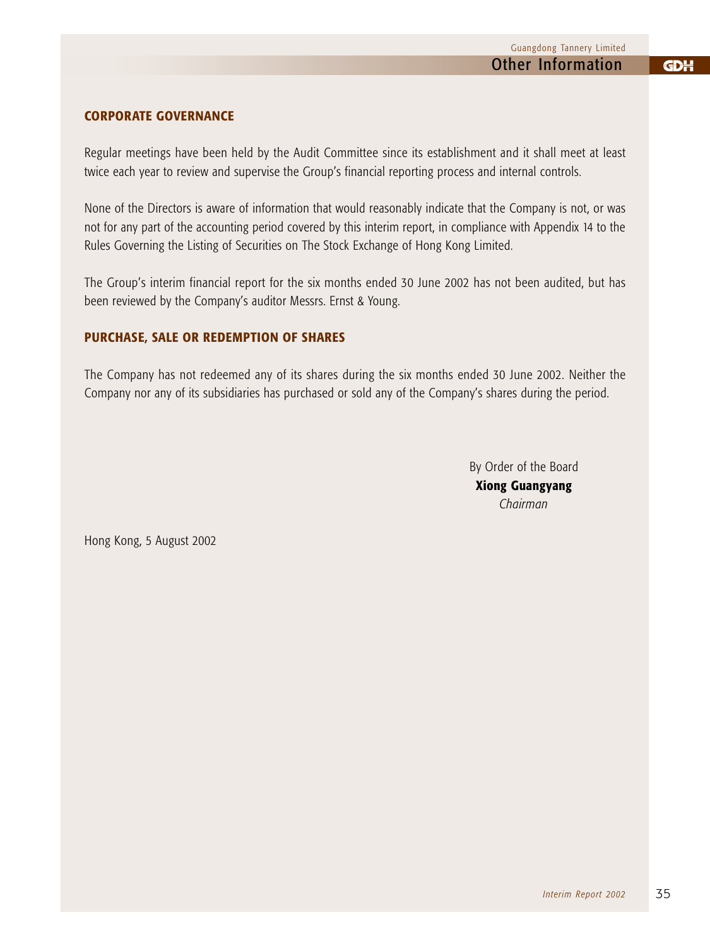### **CORPORATE GOVERNANCE**

Regular meetings have been held by the Audit Committee since its establishment and it shall meet at least twice each year to review and supervise the Group's financial reporting process and internal controls.

None of the Directors is aware of information that would reasonably indicate that the Company is not, or was not for any part of the accounting period covered by this interim report, in compliance with Appendix 14 to the Rules Governing the Listing of Securities on The Stock Exchange of Hong Kong Limited.

The Group's interim financial report for the six months ended 30 June 2002 has not been audited, but has been reviewed by the Company's auditor Messrs. Ernst & Young.

#### **PURCHASE, SALE OR REDEMPTION OF SHARES**

The Company has not redeemed any of its shares during the six months ended 30 June 2002. Neither the Company nor any of its subsidiaries has purchased or sold any of the Company's shares during the period.

> By Order of the Board **Xiong Guangyang** *Chairman*

Hong Kong, 5 August 2002